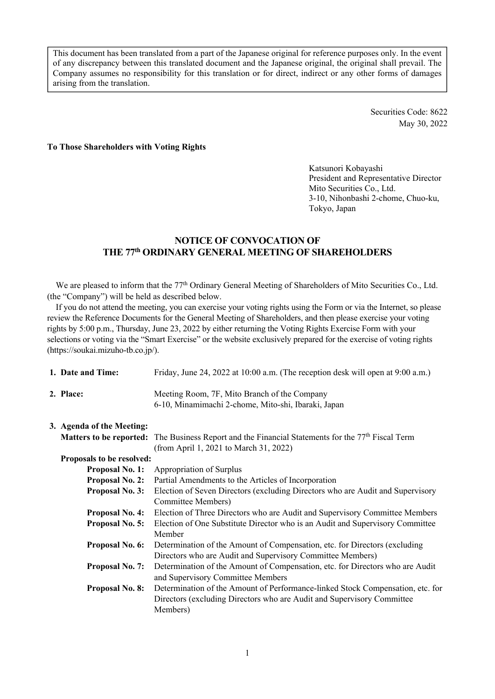This document has been translated from a part of the Japanese original for reference purposes only. In the event of any discrepancy between this translated document and the Japanese original, the original shall prevail. The Company assumes no responsibility for this translation or for direct, indirect or any other forms of damages arising from the translation.

> Securities Code: 8622 May 30, 2022

#### **To Those Shareholders with Voting Rights**

Katsunori Kobayashi President and Representative Director Mito Securities Co., Ltd. 3-10, Nihonbashi 2-chome, Chuo-ku, Tokyo, Japan

# **NOTICE OF CONVOCATION OF THE 77th ORDINARY GENERAL MEETING OF SHAREHOLDERS**

We are pleased to inform that the 77<sup>th</sup> Ordinary General Meeting of Shareholders of Mito Securities Co., Ltd. (the "Company") will be held as described below.

If you do not attend the meeting, you can exercise your voting rights using the Form or via the Internet, so please review the Reference Documents for the General Meeting of Shareholders, and then please exercise your voting rights by 5:00 p.m., Thursday, June 23, 2022 by either returning the Voting Rights Exercise Form with your selections or voting via the "Smart Exercise" or the website exclusively prepared for the exercise of voting rights (https://soukai.mizuho-tb.co.jp/).

| 1. Date and Time:              | Friday, June 24, 2022 at 10:00 a.m. (The reception desk will open at 9:00 a.m.)                                                                                      |
|--------------------------------|----------------------------------------------------------------------------------------------------------------------------------------------------------------------|
| 2. Place:                      | Meeting Room, 7F, Mito Branch of the Company<br>6-10, Minamimachi 2-chome, Mito-shi, Ibaraki, Japan                                                                  |
| 3. Agenda of the Meeting:      |                                                                                                                                                                      |
| <b>Matters to be reported:</b> | The Business Report and the Financial Statements for the 77 <sup>th</sup> Fiscal Term<br>(from April 1, 2021 to March 31, 2022)                                      |
| Proposals to be resolved:      |                                                                                                                                                                      |
| <b>Proposal No. 1:</b>         | Appropriation of Surplus                                                                                                                                             |
| <b>Proposal No. 2:</b>         | Partial Amendments to the Articles of Incorporation                                                                                                                  |
| <b>Proposal No. 3:</b>         | Election of Seven Directors (excluding Directors who are Audit and Supervisory<br>Committee Members)                                                                 |
| <b>Proposal No. 4:</b>         | Election of Three Directors who are Audit and Supervisory Committee Members                                                                                          |
| <b>Proposal No. 5:</b>         | Election of One Substitute Director who is an Audit and Supervisory Committee<br>Member                                                                              |
| <b>Proposal No. 6:</b>         | Determination of the Amount of Compensation, etc. for Directors (excluding<br>Directors who are Audit and Supervisory Committee Members)                             |
| <b>Proposal No. 7:</b>         | Determination of the Amount of Compensation, etc. for Directors who are Audit<br>and Supervisory Committee Members                                                   |
| <b>Proposal No. 8:</b>         | Determination of the Amount of Performance-linked Stock Compensation, etc. for<br>Directors (excluding Directors who are Audit and Supervisory Committee<br>Members) |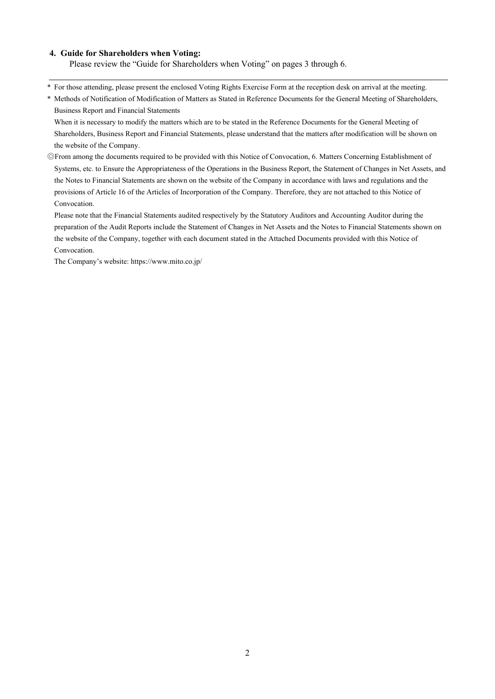#### **4. Guide for Shareholders when Voting:**

Please review the "Guide for Shareholders when Voting" on pages 3 through 6.

- \* For those attending, please present the enclosed Voting Rights Exercise Form at the reception desk on arrival at the meeting.
- \* Methods of Notification of Modification of Matters as Stated in Reference Documents for the General Meeting of Shareholders, Business Report and Financial Statements

When it is necessary to modify the matters which are to be stated in the Reference Documents for the General Meeting of Shareholders, Business Report and Financial Statements, please understand that the matters after modification will be shown on the website of the Company.

◎From among the documents required to be provided with this Notice of Convocation, 6. Matters Concerning Establishment of Systems, etc. to Ensure the Appropriateness of the Operations in the Business Report, the Statement of Changes in Net Assets, and the Notes to Financial Statements are shown on the website of the Company in accordance with laws and regulations and the provisions of Article 16 of the Articles of Incorporation of the Company. Therefore, they are not attached to this Notice of Convocation.

 Please note that the Financial Statements audited respectively by the Statutory Auditors and Accounting Auditor during the preparation of the Audit Reports include the Statement of Changes in Net Assets and the Notes to Financial Statements shown on the website of the Company, together with each document stated in the Attached Documents provided with this Notice of Convocation.

The Company's website: https://www.mito.co.jp/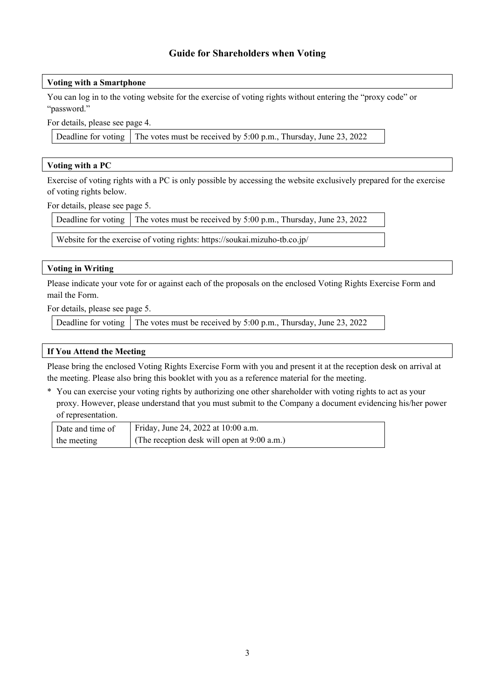# **Guide for Shareholders when Voting**

# **Voting with a Smartphone**

You can log in to the voting website for the exercise of voting rights without entering the "proxy code" or "password."

For details, please see page 4.

Deadline for voting  $\vert$  The votes must be received by 5:00 p.m., Thursday, June 23, 2022

# **Voting with a PC**

Exercise of voting rights with a PC is only possible by accessing the website exclusively prepared for the exercise of voting rights below.

For details, please see page 5.

Deadline for voting  $\vert$  The votes must be received by 5:00 p.m., Thursday, June 23, 2022

Website for the exercise of voting rights: https://soukai.mizuho-tb.co.jp/

# **Voting in Writing**

Please indicate your vote for or against each of the proposals on the enclosed Voting Rights Exercise Form and mail the Form.

For details, please see page 5.

Deadline for voting  $\vert$  The votes must be received by 5:00 p.m., Thursday, June 23, 2022

# **If You Attend the Meeting**

Please bring the enclosed Voting Rights Exercise Form with you and present it at the reception desk on arrival at the meeting. Please also bring this booklet with you as a reference material for the meeting.

\* You can exercise your voting rights by authorizing one other shareholder with voting rights to act as your proxy. However, please understand that you must submit to the Company a document evidencing his/her power of representation.

| Date and time of | Friday, June 24, 2022 at 10:00 a.m.         |
|------------------|---------------------------------------------|
| the meeting      | (The reception desk will open at 9:00 a.m.) |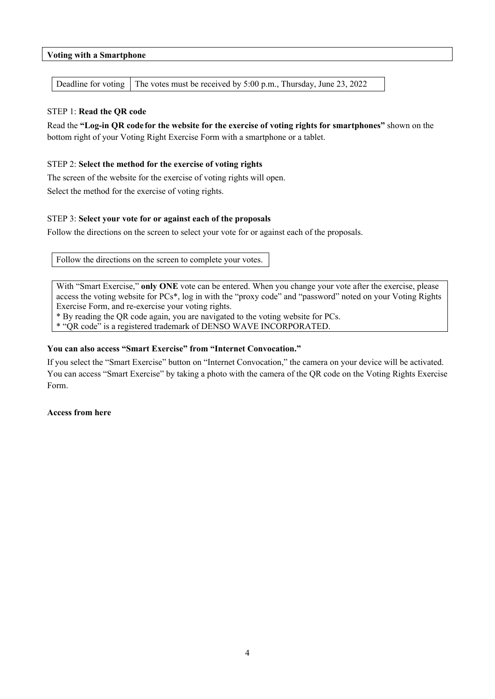# **Voting with a Smartphone**

Deadline for voting | The votes must be received by 5:00 p.m., Thursday, June 23, 2022

# STEP 1: **Read the QR code**

Read the **"Log-in QR code for the website for the exercise of voting rights for smartphones"** shown on the bottom right of your Voting Right Exercise Form with a smartphone or a tablet.

# STEP 2: **Select the method for the exercise of voting rights**

The screen of the website for the exercise of voting rights will open.

Select the method for the exercise of voting rights.

# STEP 3: **Select your vote for or against each of the proposals**

Follow the directions on the screen to select your vote for or against each of the proposals.

Follow the directions on the screen to complete your votes.

With "Smart Exercise," **only ONE** vote can be entered. When you change your vote after the exercise, please access the voting website for PCs\*, log in with the "proxy code" and "password" noted on your Voting Rights Exercise Form, and re-exercise your voting rights.

\* By reading the QR code again, you are navigated to the voting website for PCs.

\* "QR code" is a registered trademark of DENSO WAVE INCORPORATED.

# **You can also access "Smart Exercise" from "Internet Convocation."**

If you select the "Smart Exercise" button on "Internet Convocation," the camera on your device will be activated. You can access "Smart Exercise" by taking a photo with the camera of the QR code on the Voting Rights Exercise Form.

# **Access from here**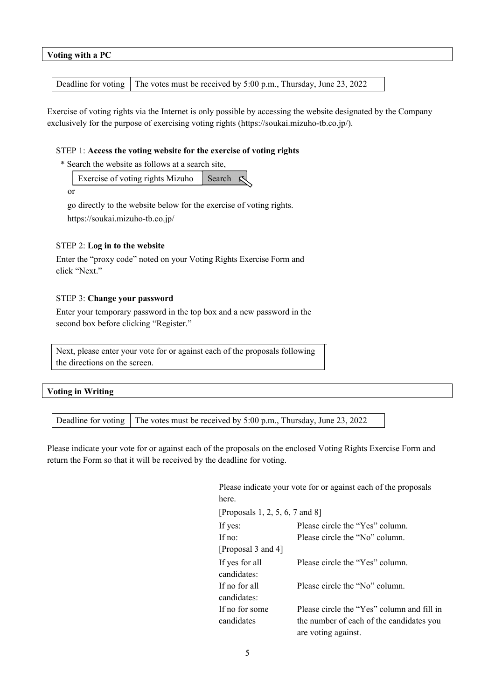#### **Voting with a PC**

Deadline for voting  $\vert$  The votes must be received by 5:00 p.m., Thursday, June 23, 2022

Exercise of voting rights via the Internet is only possible by accessing the website designated by the Company exclusively for the purpose of exercising voting rights (https://soukai.mizuho-tb.co.jp/).

#### STEP 1: **Access the voting website for the exercise of voting rights**

\* Search the website as follows at a search site,

| Exercise of voting rights Mizuho Search |  |
|-----------------------------------------|--|
|-----------------------------------------|--|

or

 go directly to the website below for the exercise of voting rights. https://soukai.mizuho-tb.co.jp/

# STEP 2: **Log in to the website**

Enter the "proxy code" noted on your Voting Rights Exercise Form and click "Next."

#### STEP 3: **Change your password**

Enter your temporary password in the top box and a new password in the second box before clicking "Register."

Next, please enter your vote for or against each of the proposals following the directions on the screen.

# **Voting in Writing**

|  | Deadline for voting The votes must be received by 5:00 p.m., Thursday, June 23, 2022 |
|--|--------------------------------------------------------------------------------------|
|--|--------------------------------------------------------------------------------------|

Please indicate your vote for or against each of the proposals on the enclosed Voting Rights Exercise Form and return the Form so that it will be received by the deadline for voting.

|                                 | Please indicate your vote for or against each of the proposals |
|---------------------------------|----------------------------------------------------------------|
| here.                           |                                                                |
| [Proposals 1, 2, 5, 6, 7 and 8] |                                                                |
| If yes:                         | Please circle the "Yes" column.                                |
| If no:                          | Please circle the "No" column.                                 |
| [Proposal 3 and 4]              |                                                                |
| If yes for all                  | Please circle the "Yes" column.                                |
| candidates:                     |                                                                |
| If no for all                   | Please circle the "No" column.                                 |
| candidates:                     |                                                                |
| If no for some                  | Please circle the "Yes" column and fill in                     |
| candidates                      | the number of each of the candidates you                       |
|                                 | are voting against.                                            |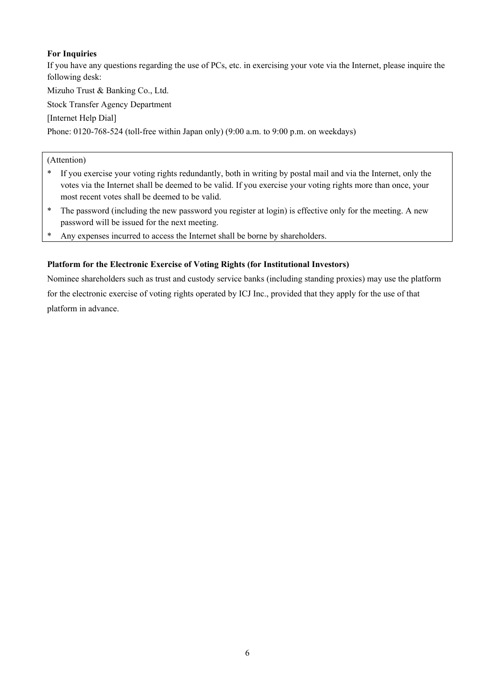# **For Inquiries**

If you have any questions regarding the use of PCs, etc. in exercising your vote via the Internet, please inquire the following desk:

Mizuho Trust & Banking Co., Ltd.

Stock Transfer Agency Department

[Internet Help Dial]

Phone: 0120-768-524 (toll-free within Japan only) (9:00 a.m. to 9:00 p.m. on weekdays)

# (Attention)

- \* If you exercise your voting rights redundantly, both in writing by postal mail and via the Internet, only the votes via the Internet shall be deemed to be valid. If you exercise your voting rights more than once, your most recent votes shall be deemed to be valid.
- \* The password (including the new password you register at login) is effective only for the meeting. A new password will be issued for the next meeting.
- \* Any expenses incurred to access the Internet shall be borne by shareholders.

# **Platform for the Electronic Exercise of Voting Rights (for Institutional Investors)**

Nominee shareholders such as trust and custody service banks (including standing proxies) may use the platform for the electronic exercise of voting rights operated by ICJ Inc., provided that they apply for the use of that platform in advance.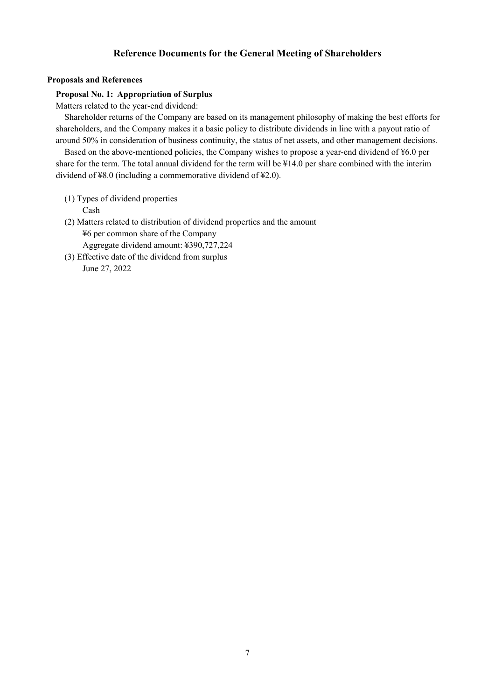# **Reference Documents for the General Meeting of Shareholders**

#### **Proposals and References**

#### **Proposal No. 1: Appropriation of Surplus**

Matters related to the year-end dividend:

Shareholder returns of the Company are based on its management philosophy of making the best efforts for shareholders, and the Company makes it a basic policy to distribute dividends in line with a payout ratio of around 50% in consideration of business continuity, the status of net assets, and other management decisions.

Based on the above-mentioned policies, the Company wishes to propose a year-end dividend of ¥6.0 per share for the term. The total annual dividend for the term will be ¥14.0 per share combined with the interim dividend of ¥8.0 (including a commemorative dividend of ¥2.0).

- (1) Types of dividend properties Cash
- (2) Matters related to distribution of dividend properties and the amount ¥6 per common share of the Company Aggregate dividend amount: ¥390,727,224
- (3) Effective date of the dividend from surplus June 27, 2022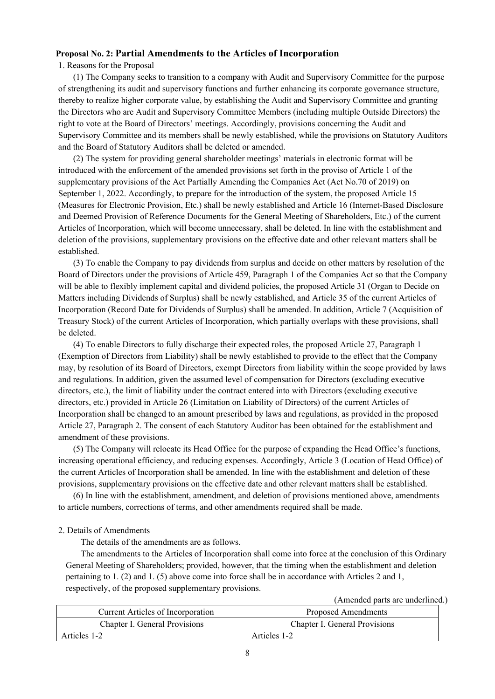## **Proposal No. 2: Partial Amendments to the Articles of Incorporation**

1. Reasons for the Proposal

(1) The Company seeks to transition to a company with Audit and Supervisory Committee for the purpose of strengthening its audit and supervisory functions and further enhancing its corporate governance structure, thereby to realize higher corporate value, by establishing the Audit and Supervisory Committee and granting the Directors who are Audit and Supervisory Committee Members (including multiple Outside Directors) the right to vote at the Board of Directors' meetings. Accordingly, provisions concerning the Audit and Supervisory Committee and its members shall be newly established, while the provisions on Statutory Auditors and the Board of Statutory Auditors shall be deleted or amended.

(2) The system for providing general shareholder meetings' materials in electronic format will be introduced with the enforcement of the amended provisions set forth in the proviso of Article 1 of the supplementary provisions of the Act Partially Amending the Companies Act (Act No.70 of 2019) on September 1, 2022. Accordingly, to prepare for the introduction of the system, the proposed Article 15 (Measures for Electronic Provision, Etc.) shall be newly established and Article 16 (Internet-Based Disclosure and Deemed Provision of Reference Documents for the General Meeting of Shareholders, Etc.) of the current Articles of Incorporation, which will become unnecessary, shall be deleted. In line with the establishment and deletion of the provisions, supplementary provisions on the effective date and other relevant matters shall be established.

(3) To enable the Company to pay dividends from surplus and decide on other matters by resolution of the Board of Directors under the provisions of Article 459, Paragraph 1 of the Companies Act so that the Company will be able to flexibly implement capital and dividend policies, the proposed Article 31 (Organ to Decide on Matters including Dividends of Surplus) shall be newly established, and Article 35 of the current Articles of Incorporation (Record Date for Dividends of Surplus) shall be amended. In addition, Article 7 (Acquisition of Treasury Stock) of the current Articles of Incorporation, which partially overlaps with these provisions, shall be deleted.

(4) To enable Directors to fully discharge their expected roles, the proposed Article 27, Paragraph 1 (Exemption of Directors from Liability) shall be newly established to provide to the effect that the Company may, by resolution of its Board of Directors, exempt Directors from liability within the scope provided by laws and regulations. In addition, given the assumed level of compensation for Directors (excluding executive directors, etc.), the limit of liability under the contract entered into with Directors (excluding executive directors, etc.) provided in Article 26 (Limitation on Liability of Directors) of the current Articles of Incorporation shall be changed to an amount prescribed by laws and regulations, as provided in the proposed Article 27, Paragraph 2. The consent of each Statutory Auditor has been obtained for the establishment and amendment of these provisions.

(5) The Company will relocate its Head Office for the purpose of expanding the Head Office's functions, increasing operational efficiency, and reducing expenses. Accordingly, Article 3 (Location of Head Office) of the current Articles of Incorporation shall be amended. In line with the establishment and deletion of these provisions, supplementary provisions on the effective date and other relevant matters shall be established.

(6) In line with the establishment, amendment, and deletion of provisions mentioned above, amendments to article numbers, corrections of terms, and other amendments required shall be made.

## 2. Details of Amendments

The details of the amendments are as follows.

The amendments to the Articles of Incorporation shall come into force at the conclusion of this Ordinary General Meeting of Shareholders; provided, however, that the timing when the establishment and deletion pertaining to 1. (2) and 1. (5) above come into force shall be in accordance with Articles 2 and 1, respectively, of the proposed supplementary provisions.

(Amended parts are underlined.)

| <b>Current Articles of Incorporation</b> | Proposed Amendments                  |
|------------------------------------------|--------------------------------------|
| <b>Chapter I. General Provisions</b>     | <b>Chapter I. General Provisions</b> |
| Articles 1-2                             | Articles 1-2                         |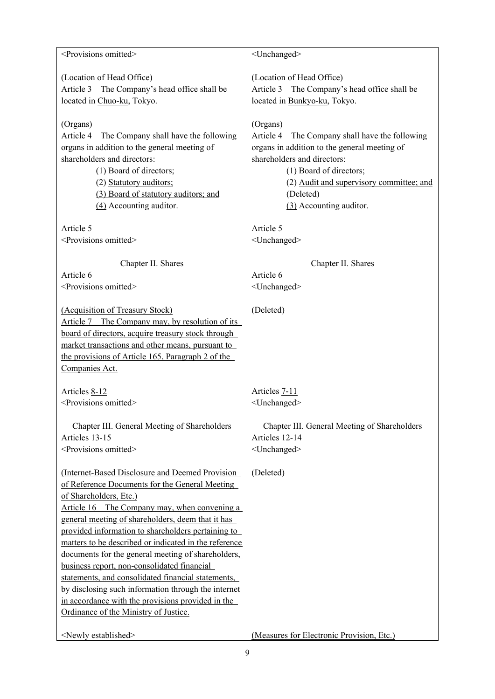| <provisions omitted=""></provisions>                  | <unchanged></unchanged>                           |
|-------------------------------------------------------|---------------------------------------------------|
| (Location of Head Office)                             | (Location of Head Office)                         |
| Article 3 The Company's head office shall be          | Article 3 The Company's head office shall be      |
| located in Chuo-ku, Tokyo.                            | located in Bunkyo-ku, Tokyo.                      |
|                                                       |                                                   |
| (Organs)                                              | (Organs)                                          |
| Article 4<br>The Company shall have the following     | Article 4<br>The Company shall have the following |
| organs in addition to the general meeting of          | organs in addition to the general meeting of      |
| shareholders and directors:                           | shareholders and directors:                       |
| (1) Board of directors;                               | (1) Board of directors;                           |
| (2) Statutory auditors;                               | (2) Audit and supervisory committee; and          |
| (3) Board of statutory auditors; and                  | (Deleted)                                         |
| (4) Accounting auditor.                               | (3) Accounting auditor.                           |
| Article 5                                             | Article 5                                         |
| <provisions omitted=""></provisions>                  | <unchanged></unchanged>                           |
|                                                       |                                                   |
| Chapter II. Shares                                    | Chapter II. Shares                                |
| Article 6                                             | Article 6                                         |
| <provisions omitted=""></provisions>                  | <unchanged></unchanged>                           |
| (Acquisition of Treasury Stock)                       | (Deleted)                                         |
| Article 7 The Company may, by resolution of its       |                                                   |
| board of directors, acquire treasury stock through    |                                                   |
| market transactions and other means, pursuant to      |                                                   |
| the provisions of Article 165, Paragraph 2 of the     |                                                   |
| Companies Act.                                        |                                                   |
| Articles 8-12                                         | Articles 7-11                                     |
| <provisions omitted=""></provisions>                  | <unchanged></unchanged>                           |
|                                                       |                                                   |
| Chapter III. General Meeting of Shareholders          | Chapter III. General Meeting of Shareholders      |
| Articles 13-15                                        | Articles 12-14                                    |
| <provisions omitted=""></provisions>                  | <unchanged></unchanged>                           |
| (Internet-Based Disclosure and Deemed Provision       | (Deleted)                                         |
| of Reference Documents for the General Meeting        |                                                   |
| of Shareholders, Etc.)                                |                                                   |
| Article 16 The Company may, when convening a          |                                                   |
| general meeting of shareholders, deem that it has     |                                                   |
| provided information to shareholders pertaining to    |                                                   |
| matters to be described or indicated in the reference |                                                   |
| documents for the general meeting of shareholders,    |                                                   |
| business report, non-consolidated financial           |                                                   |
| statements, and consolidated financial statements,    |                                                   |
| by disclosing such information through the internet   |                                                   |
| in accordance with the provisions provided in the     |                                                   |
| Ordinance of the Ministry of Justice.                 |                                                   |
| <newly established=""></newly>                        | (Measures for Electronic Provision, Etc.)         |
|                                                       |                                                   |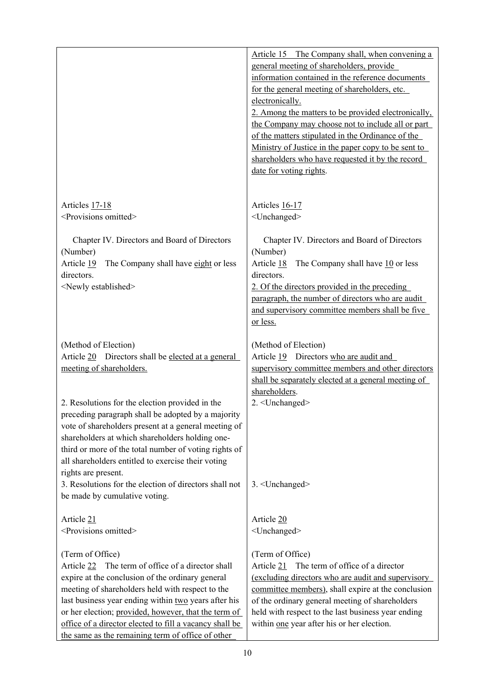|                                                                                                                                                                                                                                                                                                                                                                                                               | Article 15 The Company shall, when convening a<br>general meeting of shareholders, provide<br>information contained in the reference documents<br>for the general meeting of shareholders, etc.<br>electronically.<br>2. Among the matters to be provided electronically,<br>the Company may choose not to include all or part<br>of the matters stipulated in the Ordinance of the<br>Ministry of Justice in the paper copy to be sent to<br>shareholders who have requested it by the record<br>date for voting rights. |
|---------------------------------------------------------------------------------------------------------------------------------------------------------------------------------------------------------------------------------------------------------------------------------------------------------------------------------------------------------------------------------------------------------------|---------------------------------------------------------------------------------------------------------------------------------------------------------------------------------------------------------------------------------------------------------------------------------------------------------------------------------------------------------------------------------------------------------------------------------------------------------------------------------------------------------------------------|
| Articles 17-18<br><provisions omitted=""></provisions>                                                                                                                                                                                                                                                                                                                                                        | Articles 16-17<br><unchanged></unchanged>                                                                                                                                                                                                                                                                                                                                                                                                                                                                                 |
| Chapter IV. Directors and Board of Directors<br>(Number)<br>Article 19<br>The Company shall have eight or less<br>directors.<br><newly established=""></newly>                                                                                                                                                                                                                                                | Chapter IV. Directors and Board of Directors<br>(Number)<br>Article 18<br>The Company shall have $10$ or less<br>directors.<br>2. Of the directors provided in the preceding<br>paragraph, the number of directors who are audit<br>and supervisory committee members shall be five<br>or less.                                                                                                                                                                                                                           |
| (Method of Election)<br>Article 20 Directors shall be elected at a general<br>meeting of shareholders.                                                                                                                                                                                                                                                                                                        | (Method of Election)<br>Directors who are audit and<br>Article 19<br>supervisory committee members and other directors<br>shall be separately elected at a general meeting of                                                                                                                                                                                                                                                                                                                                             |
| 2. Resolutions for the election provided in the<br>preceding paragraph shall be adopted by a majority<br>vote of shareholders present at a general meeting of<br>shareholders at which shareholders holding one-<br>third or more of the total number of voting rights of<br>all shareholders entitled to exercise their voting<br>rights are present.                                                        | shareholders.<br>2. < Unchanged>                                                                                                                                                                                                                                                                                                                                                                                                                                                                                          |
| 3. Resolutions for the election of directors shall not<br>be made by cumulative voting.                                                                                                                                                                                                                                                                                                                       | 3. <unchanged></unchanged>                                                                                                                                                                                                                                                                                                                                                                                                                                                                                                |
| Article 21<br><provisions omitted=""></provisions>                                                                                                                                                                                                                                                                                                                                                            | Article 20<br><unchanged></unchanged>                                                                                                                                                                                                                                                                                                                                                                                                                                                                                     |
| (Term of Office)<br>Article 22 The term of office of a director shall<br>expire at the conclusion of the ordinary general<br>meeting of shareholders held with respect to the<br>last business year ending within two years after his<br>or her election; provided, however, that the term of<br>office of a director elected to fill a vacancy shall be<br>the same as the remaining term of office of other | (Term of Office)<br>The term of office of a director<br>Article 21<br>(excluding directors who are audit and supervisory<br>committee members), shall expire at the conclusion<br>of the ordinary general meeting of shareholders<br>held with respect to the last business year ending<br>within one year after his or her election.                                                                                                                                                                                     |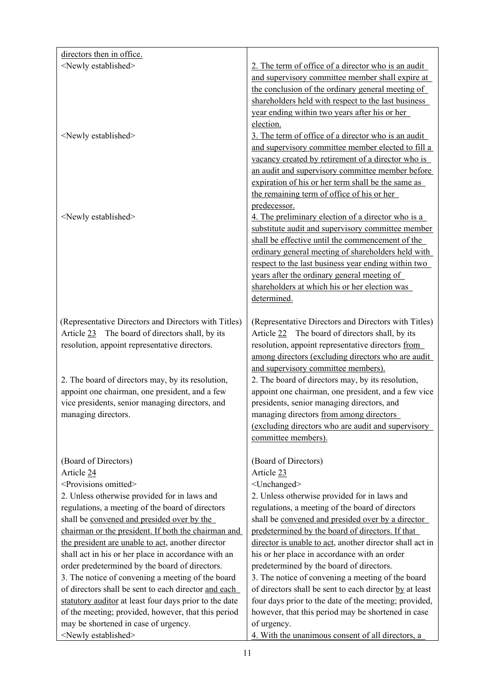| directors then in office.                              |                                                                                           |
|--------------------------------------------------------|-------------------------------------------------------------------------------------------|
| <newly established=""></newly>                         | 2. The term of office of a director who is an audit                                       |
|                                                        | and supervisory committee member shall expire at                                          |
|                                                        | the conclusion of the ordinary general meeting of                                         |
|                                                        | shareholders held with respect to the last business                                       |
|                                                        | year ending within two years after his or her                                             |
|                                                        | election.                                                                                 |
| <newly established=""></newly>                         | 3. The term of office of a director who is an audit                                       |
|                                                        | and supervisory committee member elected to fill a                                        |
|                                                        | vacancy created by retirement of a director who is                                        |
|                                                        | an audit and supervisory committee member before                                          |
|                                                        | expiration of his or her term shall be the same as                                        |
|                                                        | the remaining term of office of his or her                                                |
|                                                        | predecessor.                                                                              |
| <newly established=""></newly>                         | 4. The preliminary election of a director who is a                                        |
|                                                        | substitute audit and supervisory committee member                                         |
|                                                        | shall be effective until the commencement of the                                          |
|                                                        | ordinary general meeting of shareholders held with                                        |
|                                                        | respect to the last business year ending within two                                       |
|                                                        | years after the ordinary general meeting of                                               |
|                                                        | shareholders at which his or her election was                                             |
|                                                        | determined.                                                                               |
|                                                        |                                                                                           |
| (Representative Directors and Directors with Titles)   | (Representative Directors and Directors with Titles)                                      |
| Article 23 The board of directors shall, by its        | Article 22 The board of directors shall, by its                                           |
| resolution, appoint representative directors.          | resolution, appoint representative directors from                                         |
|                                                        | among directors (excluding directors who are audit<br>and supervisory committee members). |
| 2. The board of directors may, by its resolution,      | 2. The board of directors may, by its resolution,                                         |
| appoint one chairman, one president, and a few         | appoint one chairman, one president, and a few vice                                       |
| vice presidents, senior managing directors, and        | presidents, senior managing directors, and                                                |
| managing directors.                                    | managing directors from among directors                                                   |
|                                                        | <u>(excluding directors who are audit and supervisory</u>                                 |
|                                                        | committee members).                                                                       |
|                                                        |                                                                                           |
| (Board of Directors)                                   | (Board of Directors)                                                                      |
| Article 24                                             | Article 23                                                                                |
| <provisions omitted=""></provisions>                   | <unchanged></unchanged>                                                                   |
| 2. Unless otherwise provided for in laws and           | 2. Unless otherwise provided for in laws and                                              |
| regulations, a meeting of the board of directors       | regulations, a meeting of the board of directors                                          |
| shall be convened and presided over by the             | shall be convened and presided over by a director                                         |
| chairman or the president. If both the chairman and    | predetermined by the board of directors. If that                                          |
| the president are unable to act, another director      | director is unable to act, another director shall act in                                  |
| shall act in his or her place in accordance with an    | his or her place in accordance with an order                                              |
| order predetermined by the board of directors.         | predetermined by the board of directors.                                                  |
| 3. The notice of convening a meeting of the board      | 3. The notice of convening a meeting of the board                                         |
| of directors shall be sent to each director and each   | of directors shall be sent to each director by at least                                   |
| statutory auditor at least four days prior to the date | four days prior to the date of the meeting; provided,                                     |
| of the meeting; provided, however, that this period    | however, that this period may be shortened in case                                        |
| may be shortened in case of urgency.                   | of urgency.                                                                               |
| <newly established=""></newly>                         | 4. With the unanimous consent of all directors, a                                         |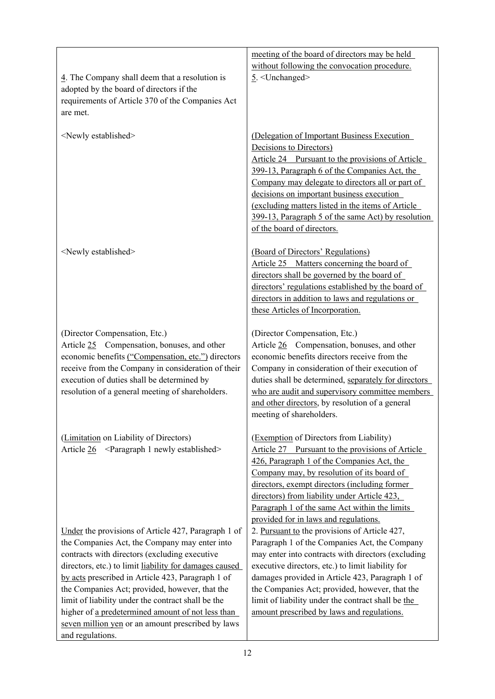| $\frac{4}{3}$ . The Company shall deem that a resolution is<br>adopted by the board of directors if the<br>requirements of Article 370 of the Companies Act<br>are met.                                                                                                                                                                                                                                                                                                                                    | meeting of the board of directors may be held<br>without following the convocation procedure.<br>$5.$ <unchanged></unchanged>                                                                                                                                                                                                                                                                                         |
|------------------------------------------------------------------------------------------------------------------------------------------------------------------------------------------------------------------------------------------------------------------------------------------------------------------------------------------------------------------------------------------------------------------------------------------------------------------------------------------------------------|-----------------------------------------------------------------------------------------------------------------------------------------------------------------------------------------------------------------------------------------------------------------------------------------------------------------------------------------------------------------------------------------------------------------------|
| <newly established=""></newly>                                                                                                                                                                                                                                                                                                                                                                                                                                                                             | (Delegation of Important Business Execution<br>Decisions to Directors)<br>Article 24 Pursuant to the provisions of Article<br>399-13, Paragraph 6 of the Companies Act, the<br>Company may delegate to directors all or part of<br>decisions on important business execution<br>(excluding matters listed in the items of Article<br>399-13, Paragraph 5 of the same Act) by resolution<br>of the board of directors. |
| <newly established=""></newly>                                                                                                                                                                                                                                                                                                                                                                                                                                                                             | (Board of Directors' Regulations)<br>Article 25 Matters concerning the board of<br>directors shall be governed by the board of<br>directors' regulations established by the board of<br>directors in addition to laws and regulations or<br>these Articles of Incorporation.                                                                                                                                          |
| (Director Compensation, Etc.)<br>Article 25 Compensation, bonuses, and other<br>economic benefits ("Compensation, etc.") directors<br>receive from the Company in consideration of their<br>execution of duties shall be determined by<br>resolution of a general meeting of shareholders.                                                                                                                                                                                                                 | (Director Compensation, Etc.)<br>Article 26 Compensation, bonuses, and other<br>economic benefits directors receive from the<br>Company in consideration of their execution of<br>duties shall be determined, separately for directors<br>who are audit and supervisory committee members<br>and other directors, by resolution of a general<br>meeting of shareholders.                                              |
| (Limitation on Liability of Directors)<br>Article $26 \leq$ Paragraph 1 newly established>                                                                                                                                                                                                                                                                                                                                                                                                                 | (Exemption of Directors from Liability)<br>Article 27 Pursuant to the provisions of Article<br>426, Paragraph 1 of the Companies Act, the<br>Company may, by resolution of its board of<br>directors, exempt directors (including former<br>directors) from liability under Article 423,<br>Paragraph 1 of the same Act within the limits<br>provided for in laws and regulations.                                    |
| Under the provisions of Article 427, Paragraph 1 of<br>the Companies Act, the Company may enter into<br>contracts with directors (excluding executive<br>directors, etc.) to limit liability for damages caused<br>by acts prescribed in Article 423, Paragraph 1 of<br>the Companies Act; provided, however, that the<br>limit of liability under the contract shall be the<br>higher of a predetermined amount of not less than<br>seven million yen or an amount prescribed by laws<br>and regulations. | 2. Pursuant to the provisions of Article 427,<br>Paragraph 1 of the Companies Act, the Company<br>may enter into contracts with directors (excluding<br>executive directors, etc.) to limit liability for<br>damages provided in Article 423, Paragraph 1 of<br>the Companies Act; provided, however, that the<br>limit of liability under the contract shall be the<br>amount prescribed by laws and regulations.    |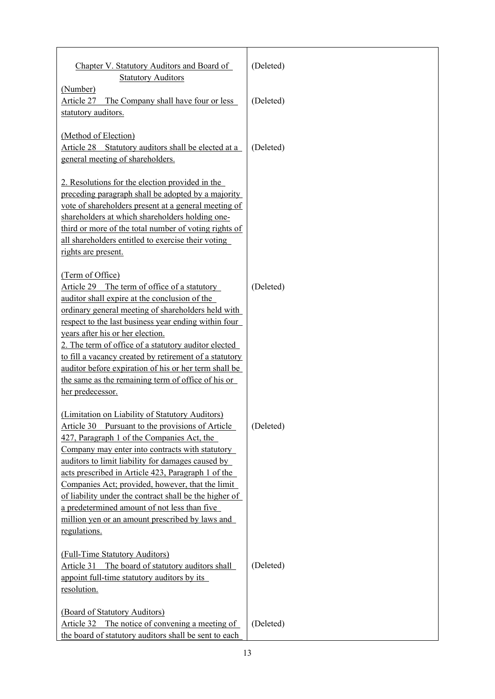| Chapter V. Statutory Auditors and Board of<br><b>Statutory Auditors</b>                                                                                                                                                                                                                                                                                                                                                                                                                                                                          | (Deleted) |
|--------------------------------------------------------------------------------------------------------------------------------------------------------------------------------------------------------------------------------------------------------------------------------------------------------------------------------------------------------------------------------------------------------------------------------------------------------------------------------------------------------------------------------------------------|-----------|
| (Number)<br>The Company shall have four or less<br>Article 27<br>statutory auditors.                                                                                                                                                                                                                                                                                                                                                                                                                                                             | (Deleted) |
| (Method of Election)<br>Article 28 Statutory auditors shall be elected at a<br>general meeting of shareholders.                                                                                                                                                                                                                                                                                                                                                                                                                                  | (Deleted) |
| 2. Resolutions for the election provided in the<br>preceding paragraph shall be adopted by a majority<br>vote of shareholders present at a general meeting of<br>shareholders at which shareholders holding one-<br>third or more of the total number of voting rights of<br>all shareholders entitled to exercise their voting<br>rights are present.                                                                                                                                                                                           |           |
| (Term of Office)<br>Article 29 The term of office of a statutory<br>auditor shall expire at the conclusion of the<br>ordinary general meeting of shareholders held with<br>respect to the last business year ending within four<br>years after his or her election.<br>2. The term of office of a statutory auditor elected<br>to fill a vacancy created by retirement of a statutory<br>auditor before expiration of his or her term shall be<br>the same as the remaining term of office of his or<br>her predecessor.                         | (Deleted) |
| (Limitation on Liability of Statutory Auditors)<br>Article 30 Pursuant to the provisions of Article<br>427, Paragraph 1 of the Companies Act, the<br>Company may enter into contracts with statutory<br>auditors to limit liability for damages caused by<br>acts prescribed in Article 423, Paragraph 1 of the<br>Companies Act; provided, however, that the limit<br>of liability under the contract shall be the higher of<br>a predetermined amount of not less than five<br>million yen or an amount prescribed by laws and<br>regulations. | (Deleted) |
| (Full-Time Statutory Auditors)<br>Article 31 The board of statutory auditors shall<br>appoint full-time statutory auditors by its<br>resolution.                                                                                                                                                                                                                                                                                                                                                                                                 | (Deleted) |
| (Board of Statutory Auditors)<br>The notice of convening a meeting of<br>Article 32<br>the board of statutory auditors shall be sent to each                                                                                                                                                                                                                                                                                                                                                                                                     | (Deleted) |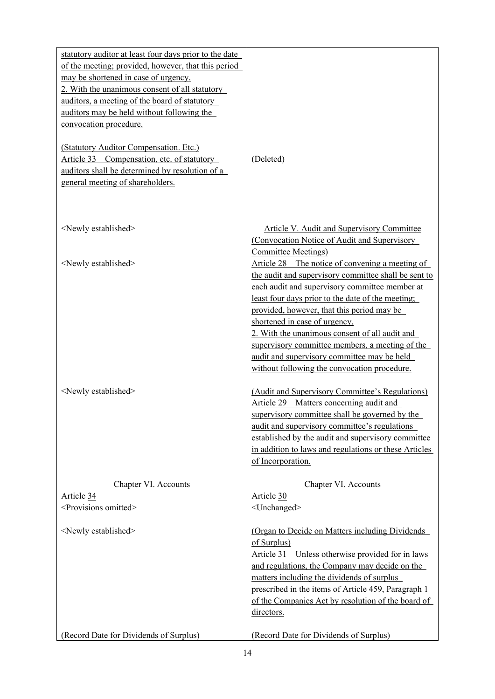| statutory auditor at least four days prior to the date |                                                                                                 |
|--------------------------------------------------------|-------------------------------------------------------------------------------------------------|
| of the meeting; provided, however, that this period    |                                                                                                 |
| may be shortened in case of urgency.                   |                                                                                                 |
| 2. With the unanimous consent of all statutory         |                                                                                                 |
| auditors, a meeting of the board of statutory          |                                                                                                 |
| auditors may be held without following the             |                                                                                                 |
| convocation procedure.                                 |                                                                                                 |
|                                                        |                                                                                                 |
| (Statutory Auditor Compensation. Etc.)                 |                                                                                                 |
| Article 33 Compensation, etc. of statutory             | (Deleted)                                                                                       |
| auditors shall be determined by resolution of a        |                                                                                                 |
| general meeting of shareholders.                       |                                                                                                 |
|                                                        |                                                                                                 |
|                                                        |                                                                                                 |
|                                                        |                                                                                                 |
| <newly established=""></newly>                         | Article V. Audit and Supervisory Committee                                                      |
|                                                        | (Convocation Notice of Audit and Supervisory                                                    |
|                                                        | <b>Committee Meetings)</b>                                                                      |
| <newly established=""></newly>                         | Article 28 The notice of convening a meeting of                                                 |
|                                                        | the audit and supervisory committee shall be sent to                                            |
|                                                        | each audit and supervisory committee member at                                                  |
|                                                        | least four days prior to the date of the meeting;<br>provided, however, that this period may be |
|                                                        | shortened in case of urgency.                                                                   |
|                                                        | 2. With the unanimous consent of all audit and                                                  |
|                                                        | supervisory committee members, a meeting of the                                                 |
|                                                        | audit and supervisory committee may be held                                                     |
|                                                        | without following the convocation procedure.                                                    |
|                                                        |                                                                                                 |
| <newly established=""></newly>                         | (Audit and Supervisory Committee's Regulations)                                                 |
|                                                        | Article 29 Matters concerning audit and                                                         |
|                                                        | supervisory committee shall be governed by the                                                  |
|                                                        | audit and supervisory committee's regulations                                                   |
|                                                        | established by the audit and supervisory committee                                              |
|                                                        | in addition to laws and regulations or these Articles                                           |
|                                                        | of Incorporation.                                                                               |
|                                                        |                                                                                                 |
| Chapter VI. Accounts                                   | Chapter VI. Accounts                                                                            |
| Article 34                                             | Article 30                                                                                      |
| <provisions omitted=""></provisions>                   | <unchanged></unchanged>                                                                         |
|                                                        |                                                                                                 |
| <newly established=""></newly>                         | (Organ to Decide on Matters including Dividends                                                 |
|                                                        | of Surplus)                                                                                     |
|                                                        | Article 31 Unless otherwise provided for in laws                                                |
|                                                        | and regulations, the Company may decide on the                                                  |
|                                                        | matters including the dividends of surplus                                                      |
|                                                        | prescribed in the items of Article 459, Paragraph 1                                             |
|                                                        | of the Companies Act by resolution of the board of                                              |
|                                                        | directors.                                                                                      |
| (Record Date for Dividends of Surplus)                 | (Record Date for Dividends of Surplus)                                                          |
|                                                        |                                                                                                 |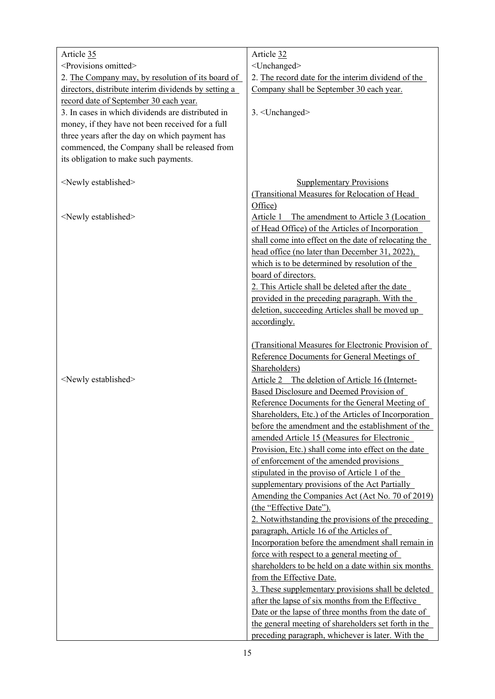| Article 35                                           | Article 32                                           |
|------------------------------------------------------|------------------------------------------------------|
| <provisions omitted=""></provisions>                 | <unchanged></unchanged>                              |
| 2. The Company may, by resolution of its board of    | 2. The record date for the interim dividend of the   |
| directors, distribute interim dividends by setting a | Company shall be September 30 each year.             |
| record date of September 30 each year.               |                                                      |
| 3. In cases in which dividends are distributed in    | 3. < Unchanged>                                      |
| money, if they have not been received for a full     |                                                      |
| three years after the day on which payment has       |                                                      |
| commenced, the Company shall be released from        |                                                      |
| its obligation to make such payments.                |                                                      |
|                                                      |                                                      |
| <newly established=""></newly>                       | <b>Supplementary Provisions</b>                      |
|                                                      | (Transitional Measures for Relocation of Head        |
|                                                      | Office)                                              |
| <newly established=""></newly>                       | Article 1<br>The amendment to Article 3 (Location    |
|                                                      | of Head Office) of the Articles of Incorporation     |
|                                                      | shall come into effect on the date of relocating the |
|                                                      | head office (no later than December 31, 2022),       |
|                                                      | which is to be determined by resolution of the       |
|                                                      | board of directors.                                  |
|                                                      | 2. This Article shall be deleted after the date      |
|                                                      | provided in the preceding paragraph. With the        |
|                                                      | deletion, succeeding Articles shall be moved up      |
|                                                      | accordingly.                                         |
|                                                      | (Transitional Measures for Electronic Provision of   |
|                                                      | Reference Documents for General Meetings of          |
|                                                      | Shareholders)                                        |
| <newly established=""></newly>                       | Article 2 The deletion of Article 16 (Internet-      |
|                                                      | Based Disclosure and Deemed Provision of             |
|                                                      | Reference Documents for the General Meeting of       |
|                                                      | Shareholders, Etc.) of the Articles of Incorporation |
|                                                      | before the amendment and the establishment of the    |
|                                                      | amended Article 15 (Measures for Electronic          |
|                                                      | Provision, Etc.) shall come into effect on the date  |
|                                                      | of enforcement of the amended provisions             |
|                                                      | stipulated in the proviso of Article 1 of the        |
|                                                      | supplementary provisions of the Act Partially        |
|                                                      | Amending the Companies Act (Act No. 70 of 2019)      |
|                                                      | (the "Effective Date").                              |
|                                                      | 2. Notwithstanding the provisions of the preceding   |
|                                                      | paragraph, Article 16 of the Articles of             |
|                                                      | Incorporation before the amendment shall remain in   |
|                                                      | force with respect to a general meeting of           |
|                                                      | shareholders to be held on a date within six months  |
|                                                      | from the Effective Date.                             |
|                                                      | 3. These supplementary provisions shall be deleted   |
|                                                      | after the lapse of six months from the Effective     |
|                                                      | Date or the lapse of three months from the date of   |
|                                                      | the general meeting of shareholders set forth in the |
|                                                      | preceding paragraph, whichever is later. With the    |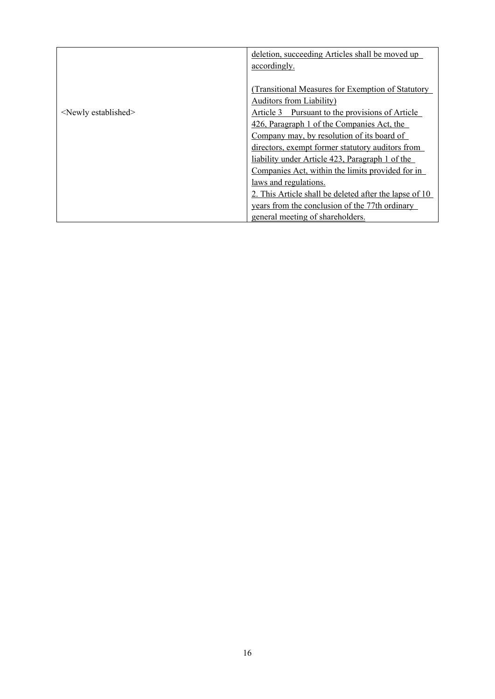|                                | deletion, succeeding Articles shall be moved up<br>accordingly. |
|--------------------------------|-----------------------------------------------------------------|
|                                |                                                                 |
|                                | (Transitional Measures for Exemption of Statutory)              |
|                                | Auditors from Liability)                                        |
| <newly established=""></newly> | Article 3 Pursuant to the provisions of Article                 |
|                                | 426, Paragraph 1 of the Companies Act, the                      |
|                                | Company may, by resolution of its board of                      |
|                                | directors, exempt former statutory auditors from                |
|                                | liability under Article 423, Paragraph 1 of the                 |
|                                | Companies Act, within the limits provided for in                |
|                                | laws and regulations.                                           |
|                                | 2. This Article shall be deleted after the lapse of 10          |
|                                | years from the conclusion of the 77th ordinary                  |
|                                | general meeting of shareholders.                                |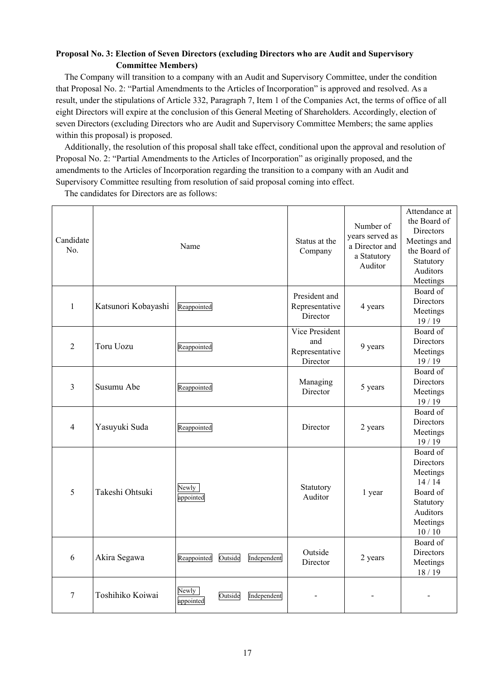# **Proposal No. 3: Election of Seven Directors (excluding Directors who are Audit and Supervisory Committee Members)**

The Company will transition to a company with an Audit and Supervisory Committee, under the condition that Proposal No. 2: "Partial Amendments to the Articles of Incorporation" is approved and resolved. As a result, under the stipulations of Article 332, Paragraph 7, Item 1 of the Companies Act, the terms of office of all eight Directors will expire at the conclusion of this General Meeting of Shareholders. Accordingly, election of seven Directors (excluding Directors who are Audit and Supervisory Committee Members; the same applies within this proposal) is proposed.

Additionally, the resolution of this proposal shall take effect, conditional upon the approval and resolution of Proposal No. 2: "Partial Amendments to the Articles of Incorporation" as originally proposed, and the amendments to the Articles of Incorporation regarding the transition to a company with an Audit and Supervisory Committee resulting from resolution of said proposal coming into effect.

The candidates for Directors are as follows:

| Candidate<br>No. |                     | Name               |         |             | Status at the<br>Company                            | Number of<br>years served as<br>a Director and<br>a Statutory<br>Auditor | Attendance at<br>the Board of<br>Directors<br>Meetings and<br>the Board of<br>Statutory<br>Auditors<br>Meetings |
|------------------|---------------------|--------------------|---------|-------------|-----------------------------------------------------|--------------------------------------------------------------------------|-----------------------------------------------------------------------------------------------------------------|
| $\mathbf{1}$     | Katsunori Kobayashi | Reappointed        |         |             | President and<br>Representative<br>Director         | 4 years                                                                  | Board of<br>Directors<br>Meetings<br>19/19                                                                      |
| $\overline{2}$   | <b>Toru Uozu</b>    | Reappointed        |         |             | Vice President<br>and<br>Representative<br>Director | 9 years                                                                  | Board of<br>Directors<br>Meetings<br>19/19                                                                      |
| 3                | Susumu Abe          | Reappointed        |         |             | Managing<br>Director                                | 5 years                                                                  | Board of<br>Directors<br>Meetings<br>19/19                                                                      |
| $\overline{4}$   | Yasuyuki Suda       | Reappointed        |         |             | Director                                            | 2 years                                                                  | Board of<br>Directors<br>Meetings<br>19/19                                                                      |
| 5                | Takeshi Ohtsuki     | Newly<br>appointed |         |             | Statutory<br>Auditor                                | 1 year                                                                   | Board of<br>Directors<br>Meetings<br>14/14<br>Board of<br>Statutory<br>Auditors<br>Meetings<br>10/10            |
| 6                | Akira Segawa        | Reappointed        | Outside | Independent | Outside<br>Director                                 | 2 years                                                                  | Board of<br>Directors<br>Meetings<br>18/19                                                                      |
| 7                | Toshihiko Koiwai    | Newly<br>appointed | Outside | Independent |                                                     |                                                                          |                                                                                                                 |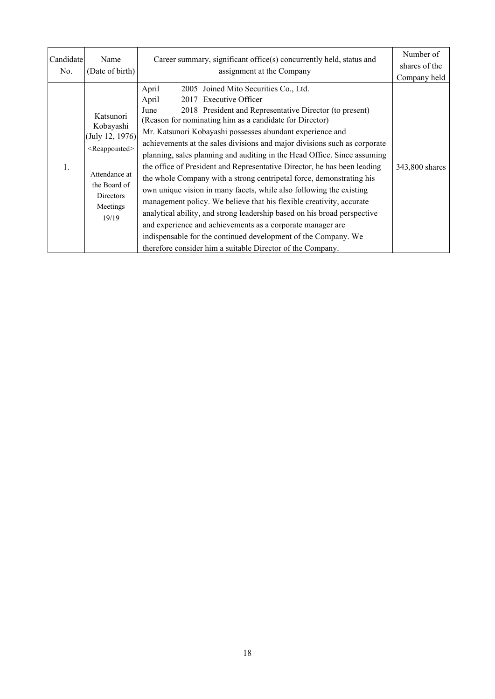| Candidate | Name                                                                                      | Career summary, significant office(s) concurrently held, status and       | Number of      |
|-----------|-------------------------------------------------------------------------------------------|---------------------------------------------------------------------------|----------------|
| No.       | (Date of birth)                                                                           | assignment at the Company                                                 | shares of the  |
|           |                                                                                           |                                                                           | Company held   |
|           |                                                                                           | April<br>2005 Joined Mito Securities Co., Ltd.                            |                |
|           |                                                                                           | 2017 Executive Officer<br>April                                           |                |
|           |                                                                                           | 2018 President and Representative Director (to present)<br>June           |                |
|           | Katsunori                                                                                 | (Reason for nominating him as a candidate for Director)                   |                |
|           | Kobayashi<br>(July 12, 1976)                                                              | Mr. Katsunori Kobayashi possesses abundant experience and                 |                |
|           | <reappointed><br/>Attendance at<br/>the Board of<br/>Directors<br/>Meetings</reappointed> | achievements at the sales divisions and major divisions such as corporate |                |
|           |                                                                                           | planning, sales planning and auditing in the Head Office. Since assuming  |                |
| 1.        |                                                                                           | the office of President and Representative Director, he has been leading  | 343,800 shares |
|           |                                                                                           | the whole Company with a strong centripetal force, demonstrating his      |                |
|           |                                                                                           | own unique vision in many facets, while also following the existing       |                |
|           |                                                                                           | management policy. We believe that his flexible creativity, accurate      |                |
|           | 19/19                                                                                     | analytical ability, and strong leadership based on his broad perspective  |                |
|           |                                                                                           | and experience and achievements as a corporate manager are                |                |
|           |                                                                                           | indispensable for the continued development of the Company. We            |                |
|           |                                                                                           | therefore consider him a suitable Director of the Company.                |                |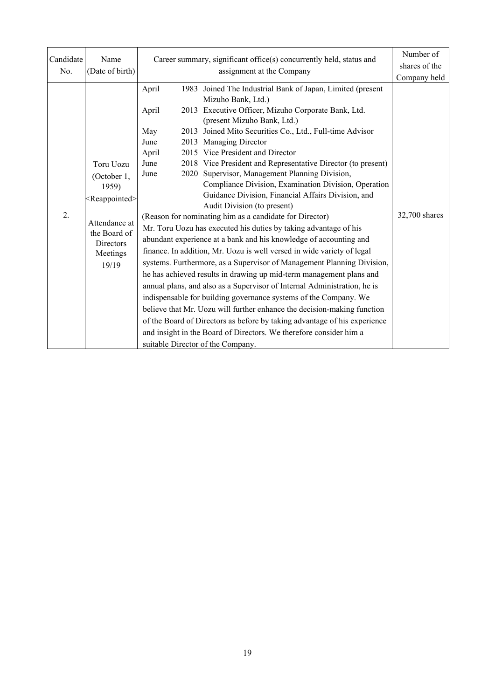| Candidate<br>No. | Name<br>(Date of birth)                                                                                                                  | Career summary, significant office(s) concurrently held, status and | Number of<br>shares of the<br>Company held                                                                                                                                                                                                                                                                                                                                                                                                                                                                                                                                                                                                                                                                                                                                                                                                                                                                                                                                                                                                                                                                                                                                                                                                                                                                                                                                                                        |               |
|------------------|------------------------------------------------------------------------------------------------------------------------------------------|---------------------------------------------------------------------|-------------------------------------------------------------------------------------------------------------------------------------------------------------------------------------------------------------------------------------------------------------------------------------------------------------------------------------------------------------------------------------------------------------------------------------------------------------------------------------------------------------------------------------------------------------------------------------------------------------------------------------------------------------------------------------------------------------------------------------------------------------------------------------------------------------------------------------------------------------------------------------------------------------------------------------------------------------------------------------------------------------------------------------------------------------------------------------------------------------------------------------------------------------------------------------------------------------------------------------------------------------------------------------------------------------------------------------------------------------------------------------------------------------------|---------------|
| 2.               | Toru Uozu<br>(October 1,<br>1959)<br><reappointed><br/>Attendance at<br/>the Board of<br/>Directors<br/>Meetings<br/>19/19</reappointed> | April<br>April<br>May<br>June<br>April<br>June<br>June              | 1983 Joined The Industrial Bank of Japan, Limited (present<br>Mizuho Bank, Ltd.)<br>2013 Executive Officer, Mizuho Corporate Bank, Ltd.<br>(present Mizuho Bank, Ltd.)<br>2013 Joined Mito Securities Co., Ltd., Full-time Advisor<br>2013 Managing Director<br>2015 Vice President and Director<br>2018 Vice President and Representative Director (to present)<br>2020 Supervisor, Management Planning Division,<br>Compliance Division, Examination Division, Operation<br>Guidance Division, Financial Affairs Division, and<br>Audit Division (to present)<br>(Reason for nominating him as a candidate for Director)<br>Mr. Toru Uozu has executed his duties by taking advantage of his<br>abundant experience at a bank and his knowledge of accounting and<br>finance. In addition, Mr. Uozu is well versed in wide variety of legal<br>systems. Furthermore, as a Supervisor of Management Planning Division,<br>he has achieved results in drawing up mid-term management plans and<br>annual plans, and also as a Supervisor of Internal Administration, he is<br>indispensable for building governance systems of the Company. We<br>believe that Mr. Uozu will further enhance the decision-making function<br>of the Board of Directors as before by taking advantage of his experience<br>and insight in the Board of Directors. We therefore consider him a<br>suitable Director of the Company. | 32,700 shares |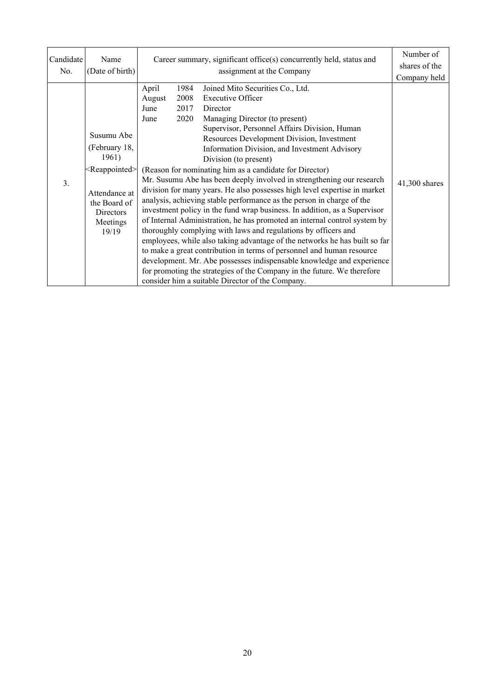| Candidate<br>No. | Name<br>(Date of birth)                                                                                                                     | Career summary, significant office(s) concurrently held, status and<br>assignment at the Company                                                                                                                                                                                                                                                                                                                                                                                                                                                                                                                                                                                                                                                                                                                                                                                                                                                                                                                                                                                                                                                                                                                                     | Number of<br>shares of the<br>Company held |
|------------------|---------------------------------------------------------------------------------------------------------------------------------------------|--------------------------------------------------------------------------------------------------------------------------------------------------------------------------------------------------------------------------------------------------------------------------------------------------------------------------------------------------------------------------------------------------------------------------------------------------------------------------------------------------------------------------------------------------------------------------------------------------------------------------------------------------------------------------------------------------------------------------------------------------------------------------------------------------------------------------------------------------------------------------------------------------------------------------------------------------------------------------------------------------------------------------------------------------------------------------------------------------------------------------------------------------------------------------------------------------------------------------------------|--------------------------------------------|
| 3.               | Susumu Abe<br>(February 18,<br>1961)<br><reappointed><br/>Attendance at<br/>the Board of<br/>Directors<br/>Meetings<br/>19/19</reappointed> | April<br>1984<br>Joined Mito Securities Co., Ltd.<br>2008<br>Executive Officer<br>August<br>2017<br>Director<br>June<br>2020<br>Managing Director (to present)<br>June<br>Supervisor, Personnel Affairs Division, Human<br>Resources Development Division, Investment<br>Information Division, and Investment Advisory<br>Division (to present)<br>(Reason for nominating him as a candidate for Director)<br>Mr. Susumu Abe has been deeply involved in strengthening our research<br>division for many years. He also possesses high level expertise in market<br>analysis, achieving stable performance as the person in charge of the<br>investment policy in the fund wrap business. In addition, as a Supervisor<br>of Internal Administration, he has promoted an internal control system by<br>thoroughly complying with laws and regulations by officers and<br>employees, while also taking advantage of the networks he has built so far<br>to make a great contribution in terms of personnel and human resource<br>development. Mr. Abe possesses indispensable knowledge and experience<br>for promoting the strategies of the Company in the future. We therefore<br>consider him a suitable Director of the Company. | 41,300 shares                              |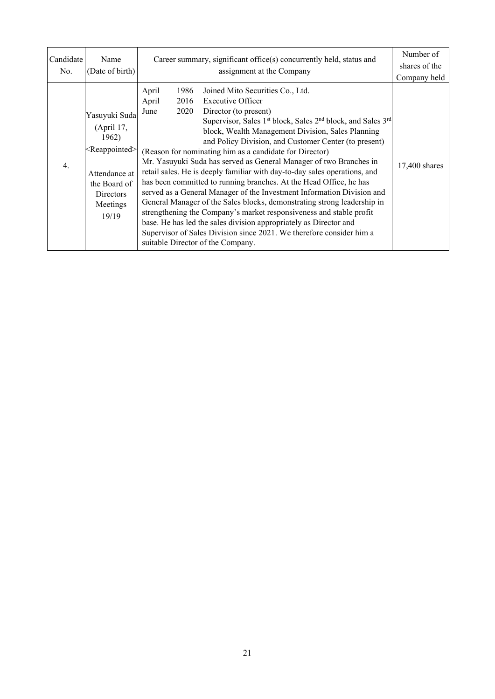| Candidate        | Name                                                                                                                                        | Career summary, significant office(s) concurrently held, status and                                                                                                                                                                                                                                                                                                                                                                                                                                                                                                                                                                                                                                                                                                                                                                                                                                                                                                                                                                                 | Number of                     |
|------------------|---------------------------------------------------------------------------------------------------------------------------------------------|-----------------------------------------------------------------------------------------------------------------------------------------------------------------------------------------------------------------------------------------------------------------------------------------------------------------------------------------------------------------------------------------------------------------------------------------------------------------------------------------------------------------------------------------------------------------------------------------------------------------------------------------------------------------------------------------------------------------------------------------------------------------------------------------------------------------------------------------------------------------------------------------------------------------------------------------------------------------------------------------------------------------------------------------------------|-------------------------------|
| No.              | (Date of birth)                                                                                                                             | assignment at the Company                                                                                                                                                                                                                                                                                                                                                                                                                                                                                                                                                                                                                                                                                                                                                                                                                                                                                                                                                                                                                           | shares of the                 |
| $\overline{4}$ . | Yasuyuki Suda<br>(April 17,<br>1962)<br><reappointed><br/>Attendance at<br/>the Board of<br/>Directors<br/>Meetings<br/>19/19</reappointed> | April<br>1986<br>Joined Mito Securities Co., Ltd.<br>April<br>2016<br>Executive Officer<br>2020<br>June<br>Director (to present)<br>Supervisor, Sales 1 <sup>st</sup> block, Sales 2 <sup>nd</sup> block, and Sales 3 <sup>rd</sup><br>block, Wealth Management Division, Sales Planning<br>and Policy Division, and Customer Center (to present)<br>(Reason for nominating him as a candidate for Director)<br>Mr. Yasuyuki Suda has served as General Manager of two Branches in<br>retail sales. He is deeply familiar with day-to-day sales operations, and<br>has been committed to running branches. At the Head Office, he has<br>served as a General Manager of the Investment Information Division and<br>General Manager of the Sales blocks, demonstrating strong leadership in<br>strengthening the Company's market responsiveness and stable profit<br>base. He has led the sales division appropriately as Director and<br>Supervisor of Sales Division since 2021. We therefore consider him a<br>suitable Director of the Company. | Company held<br>17,400 shares |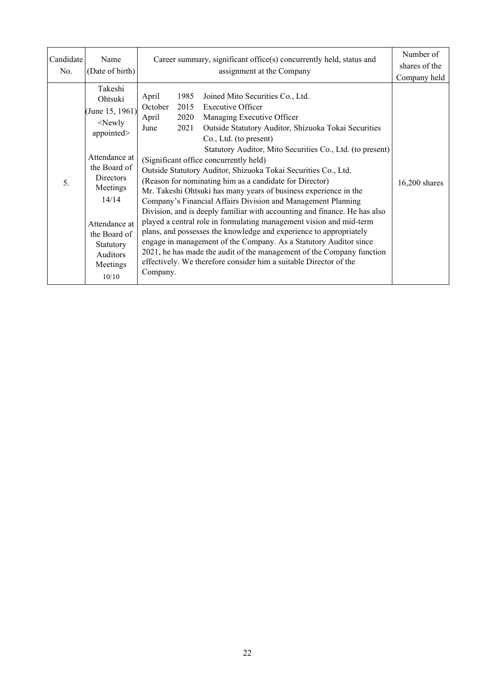| Candidate<br>No. | Name<br>(Date of birth)                                                                                                                                                                                            | Career summary, significant office(s) concurrently held, status and<br>assignment at the Company                                                                                                                                                                                                                                                                                                                                                                                                                                                                                                                                                                                                                                                                                                                                                                                                                                                                                                                                                                                   | Number of<br>shares of the<br>Company held |
|------------------|--------------------------------------------------------------------------------------------------------------------------------------------------------------------------------------------------------------------|------------------------------------------------------------------------------------------------------------------------------------------------------------------------------------------------------------------------------------------------------------------------------------------------------------------------------------------------------------------------------------------------------------------------------------------------------------------------------------------------------------------------------------------------------------------------------------------------------------------------------------------------------------------------------------------------------------------------------------------------------------------------------------------------------------------------------------------------------------------------------------------------------------------------------------------------------------------------------------------------------------------------------------------------------------------------------------|--------------------------------------------|
| 5.               | Takeshi<br>Ohtsuki<br>(June 15, 1961)<br>$<$ Newly<br>appointed><br>Attendance at<br>the Board of<br>Directors<br>Meetings<br>14/14<br>Attendance at<br>the Board of<br>Statutory<br>Auditors<br>Meetings<br>10/10 | April<br>1985<br>Joined Mito Securities Co., Ltd.<br>October<br>2015<br><b>Executive Officer</b><br>April<br>2020<br>Managing Executive Officer<br>2021<br>Outside Statutory Auditor, Shizuoka Tokai Securities<br>June<br>Co., Ltd. (to present)<br>Statutory Auditor, Mito Securities Co., Ltd. (to present)<br>(Significant office concurrently held)<br>Outside Statutory Auditor, Shizuoka Tokai Securities Co., Ltd.<br>(Reason for nominating him as a candidate for Director)<br>Mr. Takeshi Ohtsuki has many years of business experience in the<br>Company's Financial Affairs Division and Management Planning<br>Division, and is deeply familiar with accounting and finance. He has also<br>played a central role in formulating management vision and mid-term<br>plans, and possesses the knowledge and experience to appropriately<br>engage in management of the Company. As a Statutory Auditor since<br>2021, he has made the audit of the management of the Company function<br>effectively. We therefore consider him a suitable Director of the<br>Company. | $16,200$ shares                            |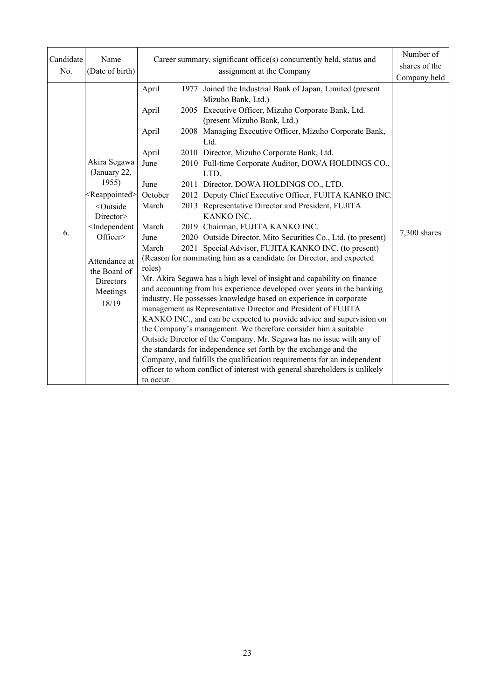| Candidate<br>No. | Name<br>(Date of birth)                                                                                                                                                                                                                 | Career summary, significant office(s) concurrently held, status and                                                   | Number of<br>shares of the<br>Company held                                                                                                                                                                                                                                                                                                                                                                                                                                                                                                                                                                                                                                                                                                                                                                                                                                                                                                                                                                                                                                                                                                                                                                                                                                                                                                                                                                                                                                                                    |              |
|------------------|-----------------------------------------------------------------------------------------------------------------------------------------------------------------------------------------------------------------------------------------|-----------------------------------------------------------------------------------------------------------------------|---------------------------------------------------------------------------------------------------------------------------------------------------------------------------------------------------------------------------------------------------------------------------------------------------------------------------------------------------------------------------------------------------------------------------------------------------------------------------------------------------------------------------------------------------------------------------------------------------------------------------------------------------------------------------------------------------------------------------------------------------------------------------------------------------------------------------------------------------------------------------------------------------------------------------------------------------------------------------------------------------------------------------------------------------------------------------------------------------------------------------------------------------------------------------------------------------------------------------------------------------------------------------------------------------------------------------------------------------------------------------------------------------------------------------------------------------------------------------------------------------------------|--------------|
| 6.               | Akira Segawa<br>(January 22,<br>1955)<br><reappointed><br/><outside<br>Director&gt;<br/><independent<br>Officer&gt;<br/>Attendance at<br/>the Board of<br/>Directors<br/>Meetings<br/>18/19</independent<br></outside<br></reappointed> | April<br>April<br>April<br>April<br>June<br>June<br>October<br>March<br>March<br>June<br>March<br>roles)<br>to occur. | 1977 Joined the Industrial Bank of Japan, Limited (present<br>Mizuho Bank, Ltd.)<br>2005 Executive Officer, Mizuho Corporate Bank, Ltd.<br>(present Mizuho Bank, Ltd.)<br>2008 Managing Executive Officer, Mizuho Corporate Bank,<br>Ltd.<br>2010 Director, Mizuho Corporate Bank, Ltd.<br>2010 Full-time Corporate Auditor, DOWA HOLDINGS CO.,<br>LTD.<br>2011 Director, DOWA HOLDINGS CO., LTD.<br>2012 Deputy Chief Executive Officer, FUJITA KANKO INC.<br>2013 Representative Director and President, FUJITA<br>KANKO INC.<br>2019 Chairman, FUJITA KANKO INC.<br>2020 Outside Director, Mito Securities Co., Ltd. (to present)<br>2021 Special Advisor, FUJITA KANKO INC. (to present)<br>(Reason for nominating him as a candidate for Director, and expected<br>Mr. Akira Segawa has a high level of insight and capability on finance<br>and accounting from his experience developed over years in the banking<br>industry. He possesses knowledge based on experience in corporate<br>management as Representative Director and President of FUJITA<br>KANKO INC., and can be expected to provide advice and supervision on<br>the Company's management. We therefore consider him a suitable<br>Outside Director of the Company. Mr. Segawa has no issue with any of<br>the standards for independence set forth by the exchange and the<br>Company, and fulfills the qualification requirements for an independent<br>officer to whom conflict of interest with general shareholders is unlikely | 7,300 shares |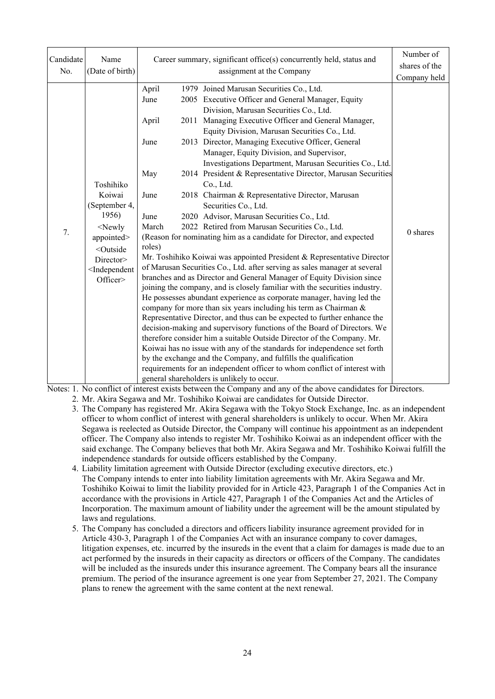| Candidate<br>No. | Name<br>(Date of birth)                                                                                                                                            | Career summary, significant office(s) concurrently held, status and      | Number of<br>shares of the<br>Company held                                                                                                                                                                                                                                                                                                                                                                                                                                                                                                                                                                                                                                                                                                                                                                                                                                                                                                                                                                                                                                                                                                                                                                                                                                                                                                                                                                                                                                                                                                                                                                                                                                                                             |            |
|------------------|--------------------------------------------------------------------------------------------------------------------------------------------------------------------|--------------------------------------------------------------------------|------------------------------------------------------------------------------------------------------------------------------------------------------------------------------------------------------------------------------------------------------------------------------------------------------------------------------------------------------------------------------------------------------------------------------------------------------------------------------------------------------------------------------------------------------------------------------------------------------------------------------------------------------------------------------------------------------------------------------------------------------------------------------------------------------------------------------------------------------------------------------------------------------------------------------------------------------------------------------------------------------------------------------------------------------------------------------------------------------------------------------------------------------------------------------------------------------------------------------------------------------------------------------------------------------------------------------------------------------------------------------------------------------------------------------------------------------------------------------------------------------------------------------------------------------------------------------------------------------------------------------------------------------------------------------------------------------------------------|------------|
| 7.               | Toshihiko<br>Koiwai<br>(September 4,<br>1956)<br>$<$ Newly<br>appointed><br><outside<br>Director&gt;<br/><independent<br>Officer&gt;</independent<br></outside<br> | April<br>June<br>April<br>June<br>May<br>June<br>June<br>March<br>roles) | 1979 Joined Marusan Securities Co., Ltd.<br>2005 Executive Officer and General Manager, Equity<br>Division, Marusan Securities Co., Ltd.<br>2011 Managing Executive Officer and General Manager,<br>Equity Division, Marusan Securities Co., Ltd.<br>2013 Director, Managing Executive Officer, General<br>Manager, Equity Division, and Supervisor,<br>Investigations Department, Marusan Securities Co., Ltd.<br>2014 President & Representative Director, Marusan Securities<br>Co., Ltd.<br>2018 Chairman & Representative Director, Marusan<br>Securities Co., Ltd.<br>2020 Advisor, Marusan Securities Co., Ltd.<br>2022 Retired from Marusan Securities Co., Ltd.<br>(Reason for nominating him as a candidate for Director, and expected<br>Mr. Toshihiko Koiwai was appointed President & Representative Director<br>of Marusan Securities Co., Ltd. after serving as sales manager at several<br>branches and as Director and General Manager of Equity Division since<br>joining the company, and is closely familiar with the securities industry.<br>He possesses abundant experience as corporate manager, having led the<br>company for more than six years including his term as Chairman &<br>Representative Director, and thus can be expected to further enhance the<br>decision-making and supervisory functions of the Board of Directors. We<br>therefore consider him a suitable Outside Director of the Company. Mr.<br>Koiwai has no issue with any of the standards for independence set forth<br>by the exchange and the Company, and fulfills the qualification<br>requirements for an independent officer to whom conflict of interest with<br>general shareholders is unlikely to occur. | $0$ shares |

Notes: 1. No conflict of interest exists between the Company and any of the above candidates for Directors.

2. Mr. Akira Segawa and Mr. Toshihiko Koiwai are candidates for Outside Director.

- 3. The Company has registered Mr. Akira Segawa with the Tokyo Stock Exchange, Inc. as an independent officer to whom conflict of interest with general shareholders is unlikely to occur. When Mr. Akira Segawa is reelected as Outside Director, the Company will continue his appointment as an independent officer. The Company also intends to register Mr. Toshihiko Koiwai as an independent officer with the said exchange. The Company believes that both Mr. Akira Segawa and Mr. Toshihiko Koiwai fulfill the independence standards for outside officers established by the Company.
- 4. Liability limitation agreement with Outside Director (excluding executive directors, etc.) The Company intends to enter into liability limitation agreements with Mr. Akira Segawa and Mr. Toshihiko Koiwai to limit the liability provided for in Article 423, Paragraph 1 of the Companies Act in accordance with the provisions in Article 427, Paragraph 1 of the Companies Act and the Articles of Incorporation. The maximum amount of liability under the agreement will be the amount stipulated by laws and regulations.
- 5. The Company has concluded a directors and officers liability insurance agreement provided for in Article 430-3, Paragraph 1 of the Companies Act with an insurance company to cover damages, litigation expenses, etc. incurred by the insureds in the event that a claim for damages is made due to an act performed by the insureds in their capacity as directors or officers of the Company. The candidates will be included as the insureds under this insurance agreement. The Company bears all the insurance premium. The period of the insurance agreement is one year from September 27, 2021. The Company plans to renew the agreement with the same content at the next renewal.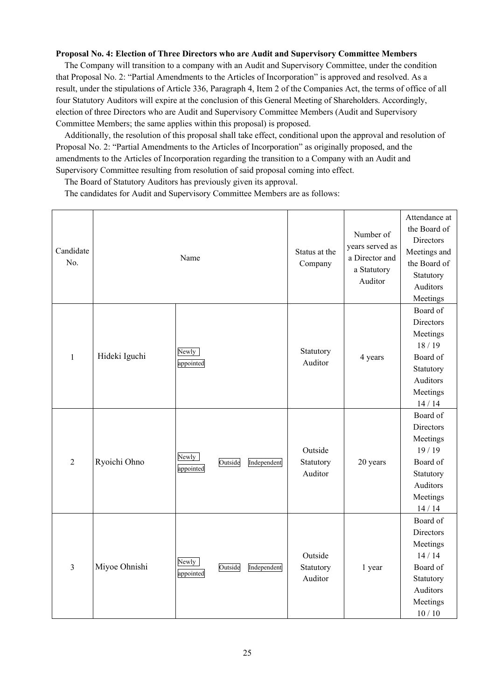#### **Proposal No. 4: Election of Three Directors who are Audit and Supervisory Committee Members**

The Company will transition to a company with an Audit and Supervisory Committee, under the condition that Proposal No. 2: "Partial Amendments to the Articles of Incorporation" is approved and resolved. As a result, under the stipulations of Article 336, Paragraph 4, Item 2 of the Companies Act, the terms of office of all four Statutory Auditors will expire at the conclusion of this General Meeting of Shareholders. Accordingly, election of three Directors who are Audit and Supervisory Committee Members (Audit and Supervisory Committee Members; the same applies within this proposal) is proposed.

Additionally, the resolution of this proposal shall take effect, conditional upon the approval and resolution of Proposal No. 2: "Partial Amendments to the Articles of Incorporation" as originally proposed, and the amendments to the Articles of Incorporation regarding the transition to a Company with an Audit and Supervisory Committee resulting from resolution of said proposal coming into effect.

The Board of Statutory Auditors has previously given its approval.

The candidates for Audit and Supervisory Committee Members are as follows:

| Candidate<br>No. |               | Name               |         |             | Status at the<br>Company        | Number of<br>years served as<br>a Director and<br>a Statutory<br>Auditor | Attendance at<br>the Board of<br>Directors<br>Meetings and<br>the Board of<br>Statutory<br>Auditors<br>Meetings |
|------------------|---------------|--------------------|---------|-------------|---------------------------------|--------------------------------------------------------------------------|-----------------------------------------------------------------------------------------------------------------|
| $\mathbf{1}$     | Hideki Iguchi | Newly<br>appointed |         |             | Statutory<br>Auditor            | 4 years                                                                  | Board of<br>Directors<br>Meetings<br>18/19<br>Board of<br>Statutory<br>Auditors<br>Meetings<br>14/14            |
| $\overline{2}$   | Ryoichi Ohno  | Newly<br>appointed | Outside | Independent | Outside<br>Statutory<br>Auditor | 20 years                                                                 | Board of<br>Directors<br>Meetings<br>19/19<br>Board of<br>Statutory<br>Auditors<br>Meetings<br>14/14            |
| $\overline{3}$   | Miyoe Ohnishi | Newly<br>appointed | Outside | Independent | Outside<br>Statutory<br>Auditor | 1 year                                                                   | Board of<br>Directors<br>Meetings<br>14/14<br>Board of<br>Statutory<br>Auditors<br>Meetings<br>10/10            |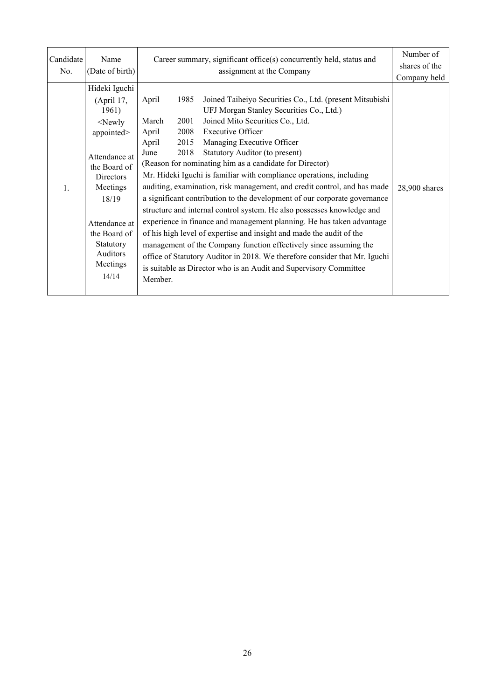| Candidate<br>No. | Name<br>(Date of birth)                                                                                                                                                                                                  | Career summary, significant office(s) concurrently held, status and<br>assignment at the Company                                                                                                                                                                                                                                                                                                                                                                                                                                                                                | Number of<br>shares of the<br>Company held                                                                                                                                                                                                                                                                                                                                                                                                                                                     |               |
|------------------|--------------------------------------------------------------------------------------------------------------------------------------------------------------------------------------------------------------------------|---------------------------------------------------------------------------------------------------------------------------------------------------------------------------------------------------------------------------------------------------------------------------------------------------------------------------------------------------------------------------------------------------------------------------------------------------------------------------------------------------------------------------------------------------------------------------------|------------------------------------------------------------------------------------------------------------------------------------------------------------------------------------------------------------------------------------------------------------------------------------------------------------------------------------------------------------------------------------------------------------------------------------------------------------------------------------------------|---------------|
| $\mathbf{1}$ .   | Hideki Iguchi<br>(April 17,<br>1961)<br>$<$ Newly<br>appointed><br>Attendance at<br>the Board of<br><b>Directors</b><br>Meetings<br>18/19<br>Attendance at<br>the Board of<br>Statutory<br>Auditors<br>Meetings<br>14/14 | April<br>1985<br>Joined Mito Securities Co., Ltd.<br>March<br>2001<br><b>Executive Officer</b><br>2008<br>April<br>2015<br>Managing Executive Officer<br>April<br>2018<br>Statutory Auditor (to present)<br>June<br>(Reason for nominating him as a candidate for Director)<br>Mr. Hideki Iguchi is familiar with compliance operations, including<br>of his high level of expertise and insight and made the audit of the<br>management of the Company function effectively since assuming the<br>is suitable as Director who is an Audit and Supervisory Committee<br>Member. | Joined Taiheiyo Securities Co., Ltd. (present Mitsubishi<br>UFJ Morgan Stanley Securities Co., Ltd.)<br>auditing, examination, risk management, and credit control, and has made<br>a significant contribution to the development of our corporate governance<br>structure and internal control system. He also possesses knowledge and<br>experience in finance and management planning. He has taken advantage<br>office of Statutory Auditor in 2018. We therefore consider that Mr. Iguchi | 28,900 shares |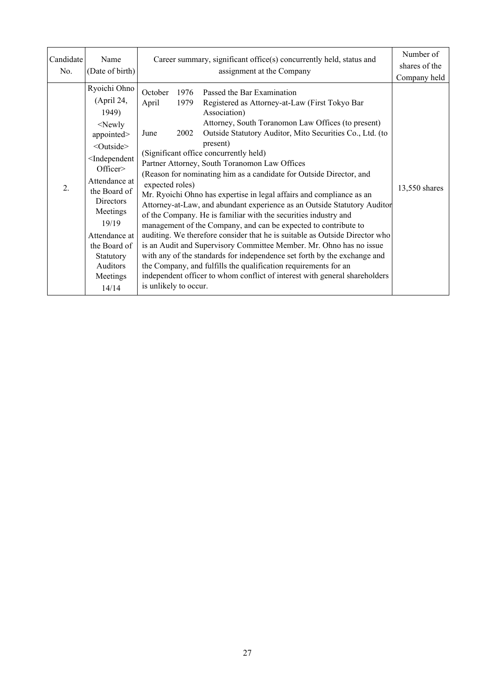| Candidate<br>No. | Name<br>(Date of birth)                                                                                                                                                                                                                                                                                | Career summary, significant office(s) concurrently held, status and<br>assignment at the Company                                                                                                                                                                                                                                                                                                                                                                                                                                                                                                                                                                                                                                                                                                                                                                                                                                                                                                                                                                                                                                                                          | Number of<br>shares of the<br>Company held |
|------------------|--------------------------------------------------------------------------------------------------------------------------------------------------------------------------------------------------------------------------------------------------------------------------------------------------------|---------------------------------------------------------------------------------------------------------------------------------------------------------------------------------------------------------------------------------------------------------------------------------------------------------------------------------------------------------------------------------------------------------------------------------------------------------------------------------------------------------------------------------------------------------------------------------------------------------------------------------------------------------------------------------------------------------------------------------------------------------------------------------------------------------------------------------------------------------------------------------------------------------------------------------------------------------------------------------------------------------------------------------------------------------------------------------------------------------------------------------------------------------------------------|--------------------------------------------|
| 2.               | Ryoichi Ohno<br>(April 24,<br>1949)<br>$<$ Newly<br>appointed><br><outside><br/><independent<br>Officer<br/>Attendance at<br/>the Board of<br/>Directors<br/>Meetings<br/>19/19<br/>Attendance at<br/>the Board of<br/>Statutory<br/><b>Auditors</b><br/>Meetings<br/>14/14</independent<br></outside> | October<br>Passed the Bar Examination<br>1976<br>April<br>1979<br>Registered as Attorney-at-Law (First Tokyo Bar<br>Association)<br>Attorney, South Toranomon Law Offices (to present)<br>Outside Statutory Auditor, Mito Securities Co., Ltd. (to<br>2002<br>June<br>present)<br>(Significant office concurrently held)<br>Partner Attorney, South Toranomon Law Offices<br>(Reason for nominating him as a candidate for Outside Director, and<br>expected roles)<br>Mr. Ryoichi Ohno has expertise in legal affairs and compliance as an<br>Attorney-at-Law, and abundant experience as an Outside Statutory Auditor<br>of the Company. He is familiar with the securities industry and<br>management of the Company, and can be expected to contribute to<br>auditing. We therefore consider that he is suitable as Outside Director who<br>is an Audit and Supervisory Committee Member. Mr. Ohno has no issue<br>with any of the standards for independence set forth by the exchange and<br>the Company, and fulfills the qualification requirements for an<br>independent officer to whom conflict of interest with general shareholders<br>is unlikely to occur. | 13,550 shares                              |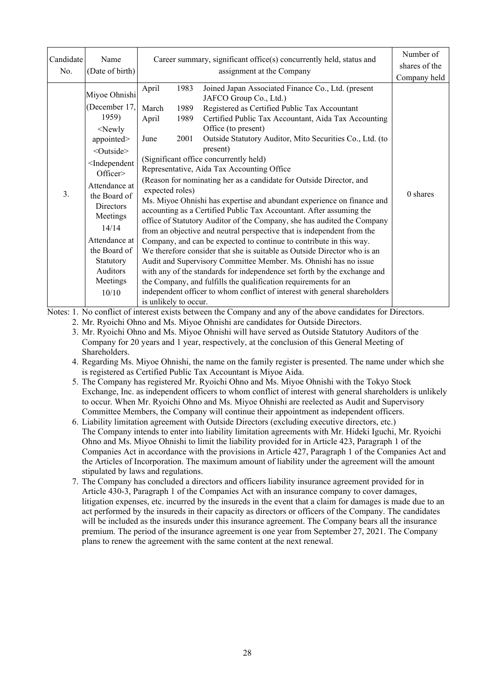| Candidate<br>No. | Name<br>(Date of birth)                                                                                                                                                                                                                                                                                        | Career summary, significant office(s) concurrently held, status and<br>assignment at the Company                                                                                                                                                                                                                                                                                                                                                                                                                                                                                                                                                                                                                                                                                                                                                                                                                                                                                                                                                                                                                                                                                                                                                                                                                             | Number of<br>shares of the<br>Company held |
|------------------|----------------------------------------------------------------------------------------------------------------------------------------------------------------------------------------------------------------------------------------------------------------------------------------------------------------|------------------------------------------------------------------------------------------------------------------------------------------------------------------------------------------------------------------------------------------------------------------------------------------------------------------------------------------------------------------------------------------------------------------------------------------------------------------------------------------------------------------------------------------------------------------------------------------------------------------------------------------------------------------------------------------------------------------------------------------------------------------------------------------------------------------------------------------------------------------------------------------------------------------------------------------------------------------------------------------------------------------------------------------------------------------------------------------------------------------------------------------------------------------------------------------------------------------------------------------------------------------------------------------------------------------------------|--------------------------------------------|
| 3.               | Miyoe Ohnishi<br>(December 17,<br>1959)<br>$<$ Newly<br>appointed><br><outside><br/><independent<br>Officer&gt;<br/>Attendance at<br/>the Board of<br/><b>Directors</b><br/>Meetings<br/>14/14<br/>Attendance at<br/>the Board of<br/>Statutory<br/>Auditors<br/>Meetings<br/>10/10</independent<br></outside> | April<br>Joined Japan Associated Finance Co., Ltd. (present<br>1983<br>JAFCO Group Co., Ltd.)<br>Registered as Certified Public Tax Accountant<br>1989<br>March<br>April<br>Certified Public Tax Accountant, Aida Tax Accounting<br>1989<br>Office (to present)<br>Outside Statutory Auditor, Mito Securities Co., Ltd. (to<br>2001<br>June<br>present)<br>(Significant office concurrently held)<br>Representative, Aida Tax Accounting Office<br>(Reason for nominating her as a candidate for Outside Director, and<br>expected roles)<br>Ms. Miyoe Ohnishi has expertise and abundant experience on finance and<br>accounting as a Certified Public Tax Accountant. After assuming the<br>office of Statutory Auditor of the Company, she has audited the Company<br>from an objective and neutral perspective that is independent from the<br>Company, and can be expected to continue to contribute in this way.<br>We therefore consider that she is suitable as Outside Director who is an<br>Audit and Supervisory Committee Member. Ms. Ohnishi has no issue<br>with any of the standards for independence set forth by the exchange and<br>the Company, and fulfills the qualification requirements for an<br>independent officer to whom conflict of interest with general shareholders<br>is unlikely to occur. | 0 shares                                   |

Notes: 1. No conflict of interest exists between the Company and any of the above candidates for Directors.

2. Mr. Ryoichi Ohno and Ms. Miyoe Ohnishi are candidates for Outside Directors.

 3. Mr. Ryoichi Ohno and Ms. Miyoe Ohnishi will have served as Outside Statutory Auditors of the Company for 20 years and 1 year, respectively, at the conclusion of this General Meeting of Shareholders.

 4. Regarding Ms. Miyoe Ohnishi, the name on the family register is presented. The name under which she is registered as Certified Public Tax Accountant is Miyoe Aida.

- 5. The Company has registered Mr. Ryoichi Ohno and Ms. Miyoe Ohnishi with the Tokyo Stock Exchange, Inc. as independent officers to whom conflict of interest with general shareholders is unlikely to occur. When Mr. Ryoichi Ohno and Ms. Miyoe Ohnishi are reelected as Audit and Supervisory Committee Members, the Company will continue their appointment as independent officers.
- 6. Liability limitation agreement with Outside Directors (excluding executive directors, etc.) The Company intends to enter into liability limitation agreements with Mr. Hideki Iguchi, Mr. Ryoichi Ohno and Ms. Miyoe Ohnishi to limit the liability provided for in Article 423, Paragraph 1 of the Companies Act in accordance with the provisions in Article 427, Paragraph 1 of the Companies Act and the Articles of Incorporation. The maximum amount of liability under the agreement will the amount stipulated by laws and regulations.
- 7. The Company has concluded a directors and officers liability insurance agreement provided for in Article 430-3, Paragraph 1 of the Companies Act with an insurance company to cover damages, litigation expenses, etc. incurred by the insureds in the event that a claim for damages is made due to an act performed by the insureds in their capacity as directors or officers of the Company. The candidates will be included as the insureds under this insurance agreement. The Company bears all the insurance premium. The period of the insurance agreement is one year from September 27, 2021. The Company plans to renew the agreement with the same content at the next renewal.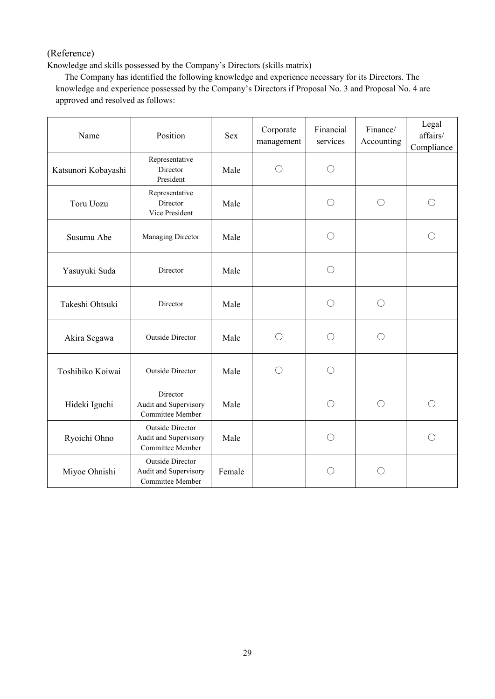# (Reference)

Knowledge and skills possessed by the Company's Directors (skills matrix)

The Company has identified the following knowledge and experience necessary for its Directors. The knowledge and experience possessed by the Company's Directors if Proposal No. 3 and Proposal No. 4 are approved and resolved as follows:

| Position<br>Name    |                                                                      | <b>Sex</b> | Corporate<br>management | Financial<br>services | Finance/<br>Accounting | Legal<br>affairs/<br>Compliance |
|---------------------|----------------------------------------------------------------------|------------|-------------------------|-----------------------|------------------------|---------------------------------|
| Katsunori Kobayashi | Representative<br>Director<br>President                              | Male       | О                       | О                     |                        |                                 |
| Toru Uozu           | Representative<br>Director<br>Vice President                         | Male       |                         | $\bigcirc$            | $\bigcirc$             | $\bigcirc$                      |
| Susumu Abe          | Managing Director                                                    | Male       |                         | $\bigcirc$            |                        | ()                              |
| Yasuyuki Suda       | Director                                                             | Male       |                         | $\bigcirc$            |                        |                                 |
| Takeshi Ohtsuki     | Director                                                             | Male       |                         | О                     | $\left(\right)$        |                                 |
| Akira Segawa        | <b>Outside Director</b>                                              | Male       | $\bigcirc$              | $\bigcirc$            | $\bigcirc$             |                                 |
| Toshihiko Koiwai    | <b>Outside Director</b>                                              | Male       | $\bigcirc$              | $\bigcirc$            |                        |                                 |
| Hideki Iguchi       | Director<br>Audit and Supervisory<br>Committee Member                | Male       |                         | $\bigcirc$            | $\bigcirc$             | $\bigcirc$                      |
| Ryoichi Ohno        | Outside Director<br>Audit and Supervisory<br>Committee Member        | Male       |                         | O                     |                        | $\bigcirc$                      |
| Miyoe Ohnishi       | <b>Outside Director</b><br>Audit and Supervisory<br>Committee Member | Female     |                         | ◯                     | $($ )                  |                                 |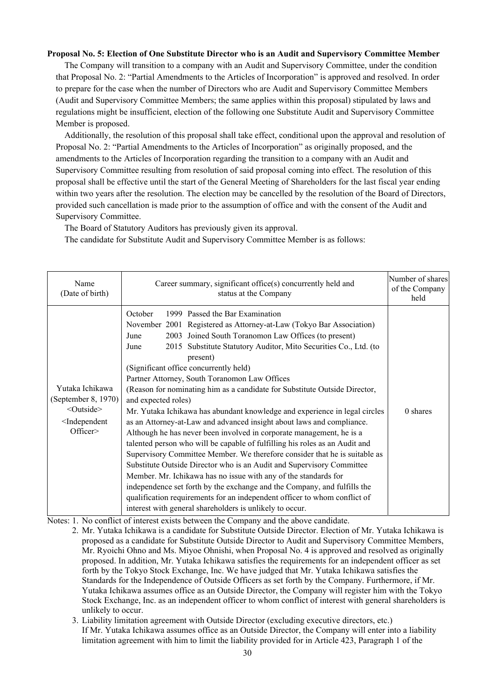#### **Proposal No. 5: Election of One Substitute Director who is an Audit and Supervisory Committee Member**

The Company will transition to a company with an Audit and Supervisory Committee, under the condition that Proposal No. 2: "Partial Amendments to the Articles of Incorporation" is approved and resolved. In order to prepare for the case when the number of Directors who are Audit and Supervisory Committee Members (Audit and Supervisory Committee Members; the same applies within this proposal) stipulated by laws and regulations might be insufficient, election of the following one Substitute Audit and Supervisory Committee Member is proposed.

Additionally, the resolution of this proposal shall take effect, conditional upon the approval and resolution of Proposal No. 2: "Partial Amendments to the Articles of Incorporation" as originally proposed, and the amendments to the Articles of Incorporation regarding the transition to a company with an Audit and Supervisory Committee resulting from resolution of said proposal coming into effect. The resolution of this proposal shall be effective until the start of the General Meeting of Shareholders for the last fiscal year ending within two years after the resolution. The election may be cancelled by the resolution of the Board of Directors, provided such cancellation is made prior to the assumption of office and with the consent of the Audit and Supervisory Committee.

The Board of Statutory Auditors has previously given its approval.

The candidate for Substitute Audit and Supervisory Committee Member is as follows:

| Name<br>(Date of birth)                                                                               | Career summary, significant office(s) concurrently held and<br>status at the Company                                                                                                                                                                                                                                                                                                                                                                                                                                                                                                                                                                                                                                                                                                                                                                                                                                                                                                                                                                                                                                                                                                                                                   | Number of shares<br>of the Company<br>held |
|-------------------------------------------------------------------------------------------------------|----------------------------------------------------------------------------------------------------------------------------------------------------------------------------------------------------------------------------------------------------------------------------------------------------------------------------------------------------------------------------------------------------------------------------------------------------------------------------------------------------------------------------------------------------------------------------------------------------------------------------------------------------------------------------------------------------------------------------------------------------------------------------------------------------------------------------------------------------------------------------------------------------------------------------------------------------------------------------------------------------------------------------------------------------------------------------------------------------------------------------------------------------------------------------------------------------------------------------------------|--------------------------------------------|
| Yutaka Ichikawa<br>(September 8, 1970)<br>$<$ Outside $>$<br><independent<br>Officer</independent<br> | October<br>1999 Passed the Bar Examination<br>November 2001 Registered as Attorney-at-Law (Tokyo Bar Association)<br>2003 Joined South Toranomon Law Offices (to present)<br>June<br>2015 Substitute Statutory Auditor, Mito Securities Co., Ltd. (to<br>June<br>present)<br>(Significant office concurrently held)<br>Partner Attorney, South Toranomon Law Offices<br>(Reason for nominating him as a candidate for Substitute Outside Director,<br>and expected roles)<br>Mr. Yutaka Ichikawa has abundant knowledge and experience in legal circles<br>as an Attorney-at-Law and advanced insight about laws and compliance.<br>Although he has never been involved in corporate management, he is a<br>talented person who will be capable of fulfilling his roles as an Audit and<br>Supervisory Committee Member. We therefore consider that he is suitable as<br>Substitute Outside Director who is an Audit and Supervisory Committee<br>Member. Mr. Ichikawa has no issue with any of the standards for<br>independence set forth by the exchange and the Company, and fulfills the<br>qualification requirements for an independent officer to whom conflict of<br>interest with general shareholders is unlikely to occur. | 0 shares                                   |

Notes: 1. No conflict of interest exists between the Company and the above candidate.

- 2. Mr. Yutaka Ichikawa is a candidate for Substitute Outside Director. Election of Mr. Yutaka Ichikawa is proposed as a candidate for Substitute Outside Director to Audit and Supervisory Committee Members, Mr. Ryoichi Ohno and Ms. Miyoe Ohnishi, when Proposal No. 4 is approved and resolved as originally proposed. In addition, Mr. Yutaka Ichikawa satisfies the requirements for an independent officer as set forth by the Tokyo Stock Exchange, Inc. We have judged that Mr. Yutaka Ichikawa satisfies the Standards for the Independence of Outside Officers as set forth by the Company. Furthermore, if Mr. Yutaka Ichikawa assumes office as an Outside Director, the Company will register him with the Tokyo Stock Exchange, Inc. as an independent officer to whom conflict of interest with general shareholders is unlikely to occur.
	- 3. Liability limitation agreement with Outside Director (excluding executive directors, etc.) If Mr. Yutaka Ichikawa assumes office as an Outside Director, the Company will enter into a liability limitation agreement with him to limit the liability provided for in Article 423, Paragraph 1 of the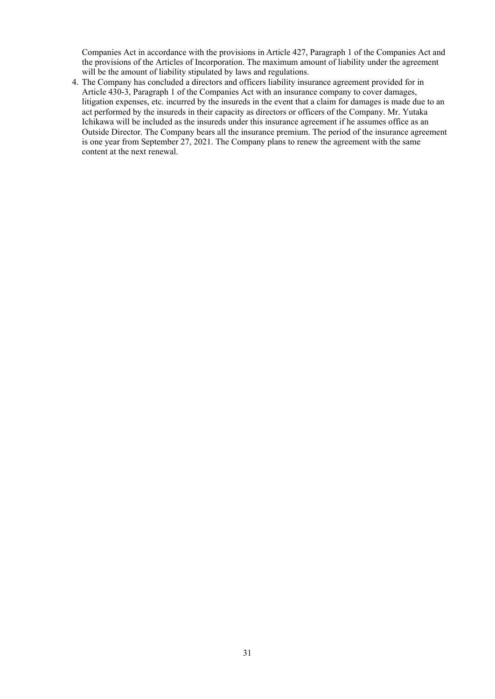Companies Act in accordance with the provisions in Article 427, Paragraph 1 of the Companies Act and the provisions of the Articles of Incorporation. The maximum amount of liability under the agreement will be the amount of liability stipulated by laws and regulations.

 4. The Company has concluded a directors and officers liability insurance agreement provided for in Article 430-3, Paragraph 1 of the Companies Act with an insurance company to cover damages, litigation expenses, etc. incurred by the insureds in the event that a claim for damages is made due to an act performed by the insureds in their capacity as directors or officers of the Company. Mr. Yutaka Ichikawa will be included as the insureds under this insurance agreement if he assumes office as an Outside Director. The Company bears all the insurance premium. The period of the insurance agreement is one year from September 27, 2021. The Company plans to renew the agreement with the same content at the next renewal.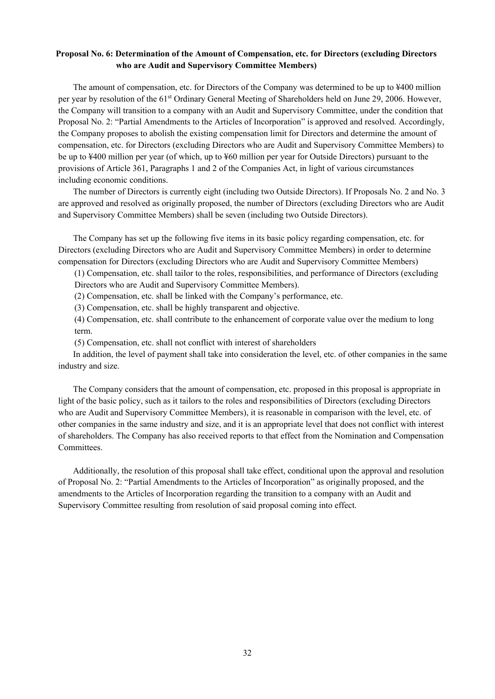# **Proposal No. 6: Determination of the Amount of Compensation, etc. for Directors (excluding Directors who are Audit and Supervisory Committee Members)**

The amount of compensation, etc. for Directors of the Company was determined to be up to ¥400 million per year by resolution of the 61<sup>st</sup> Ordinary General Meeting of Shareholders held on June 29, 2006. However, the Company will transition to a company with an Audit and Supervisory Committee, under the condition that Proposal No. 2: "Partial Amendments to the Articles of Incorporation" is approved and resolved. Accordingly, the Company proposes to abolish the existing compensation limit for Directors and determine the amount of compensation, etc. for Directors (excluding Directors who are Audit and Supervisory Committee Members) to be up to ¥400 million per year (of which, up to ¥60 million per year for Outside Directors) pursuant to the provisions of Article 361, Paragraphs 1 and 2 of the Companies Act, in light of various circumstances including economic conditions.

The number of Directors is currently eight (including two Outside Directors). If Proposals No. 2 and No. 3 are approved and resolved as originally proposed, the number of Directors (excluding Directors who are Audit and Supervisory Committee Members) shall be seven (including two Outside Directors).

The Company has set up the following five items in its basic policy regarding compensation, etc. for Directors (excluding Directors who are Audit and Supervisory Committee Members) in order to determine compensation for Directors (excluding Directors who are Audit and Supervisory Committee Members)

(1) Compensation, etc. shall tailor to the roles, responsibilities, and performance of Directors (excluding Directors who are Audit and Supervisory Committee Members).

(2) Compensation, etc. shall be linked with the Company's performance, etc.

(3) Compensation, etc. shall be highly transparent and objective.

(4) Compensation, etc. shall contribute to the enhancement of corporate value over the medium to long term.

(5) Compensation, etc. shall not conflict with interest of shareholders

In addition, the level of payment shall take into consideration the level, etc. of other companies in the same industry and size.

The Company considers that the amount of compensation, etc. proposed in this proposal is appropriate in light of the basic policy, such as it tailors to the roles and responsibilities of Directors (excluding Directors who are Audit and Supervisory Committee Members), it is reasonable in comparison with the level, etc. of other companies in the same industry and size, and it is an appropriate level that does not conflict with interest of shareholders. The Company has also received reports to that effect from the Nomination and Compensation Committees.

Additionally, the resolution of this proposal shall take effect, conditional upon the approval and resolution of Proposal No. 2: "Partial Amendments to the Articles of Incorporation" as originally proposed, and the amendments to the Articles of Incorporation regarding the transition to a company with an Audit and Supervisory Committee resulting from resolution of said proposal coming into effect.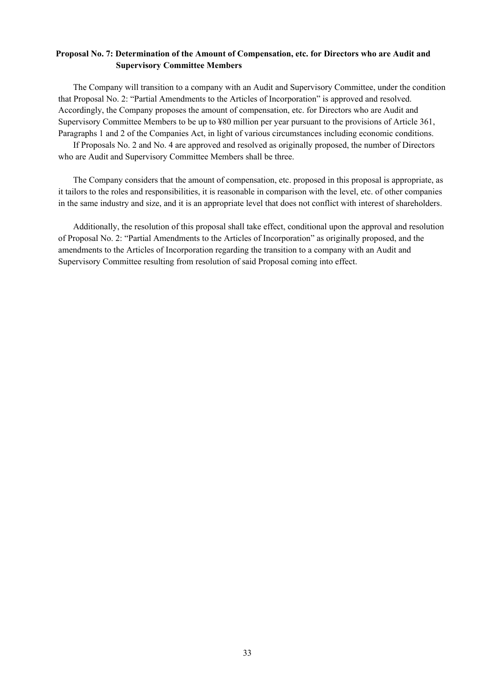# **Proposal No. 7: Determination of the Amount of Compensation, etc. for Directors who are Audit and Supervisory Committee Members**

The Company will transition to a company with an Audit and Supervisory Committee, under the condition that Proposal No. 2: "Partial Amendments to the Articles of Incorporation" is approved and resolved. Accordingly, the Company proposes the amount of compensation, etc. for Directors who are Audit and Supervisory Committee Members to be up to ¥80 million per year pursuant to the provisions of Article 361, Paragraphs 1 and 2 of the Companies Act, in light of various circumstances including economic conditions.

If Proposals No. 2 and No. 4 are approved and resolved as originally proposed, the number of Directors who are Audit and Supervisory Committee Members shall be three.

The Company considers that the amount of compensation, etc. proposed in this proposal is appropriate, as it tailors to the roles and responsibilities, it is reasonable in comparison with the level, etc. of other companies in the same industry and size, and it is an appropriate level that does not conflict with interest of shareholders.

Additionally, the resolution of this proposal shall take effect, conditional upon the approval and resolution of Proposal No. 2: "Partial Amendments to the Articles of Incorporation" as originally proposed, and the amendments to the Articles of Incorporation regarding the transition to a company with an Audit and Supervisory Committee resulting from resolution of said Proposal coming into effect.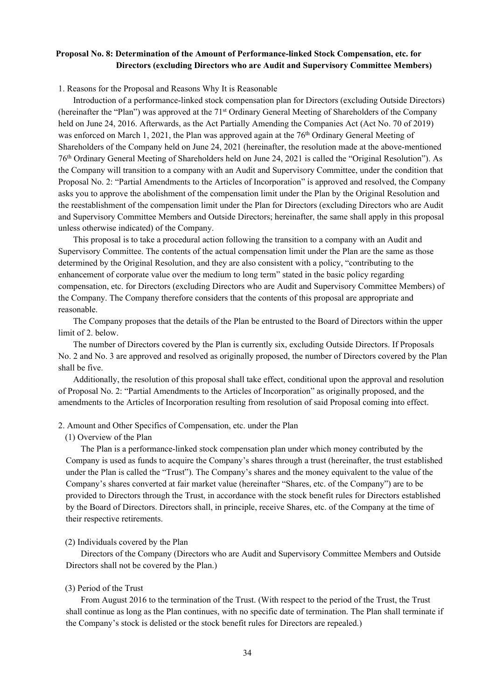# **Proposal No. 8: Determination of the Amount of Performance-linked Stock Compensation, etc. for Directors (excluding Directors who are Audit and Supervisory Committee Members)**

#### 1. Reasons for the Proposal and Reasons Why It is Reasonable

Introduction of a performance-linked stock compensation plan for Directors (excluding Outside Directors) (hereinafter the "Plan") was approved at the 71st Ordinary General Meeting of Shareholders of the Company held on June 24, 2016. Afterwards, as the Act Partially Amending the Companies Act (Act No. 70 of 2019) was enforced on March 1, 2021, the Plan was approved again at the 76<sup>th</sup> Ordinary General Meeting of Shareholders of the Company held on June 24, 2021 (hereinafter, the resolution made at the above-mentioned 76th Ordinary General Meeting of Shareholders held on June 24, 2021 is called the "Original Resolution"). As the Company will transition to a company with an Audit and Supervisory Committee, under the condition that Proposal No. 2: "Partial Amendments to the Articles of Incorporation" is approved and resolved, the Company asks you to approve the abolishment of the compensation limit under the Plan by the Original Resolution and the reestablishment of the compensation limit under the Plan for Directors (excluding Directors who are Audit and Supervisory Committee Members and Outside Directors; hereinafter, the same shall apply in this proposal unless otherwise indicated) of the Company.

This proposal is to take a procedural action following the transition to a company with an Audit and Supervisory Committee. The contents of the actual compensation limit under the Plan are the same as those determined by the Original Resolution, and they are also consistent with a policy, "contributing to the enhancement of corporate value over the medium to long term" stated in the basic policy regarding compensation, etc. for Directors (excluding Directors who are Audit and Supervisory Committee Members) of the Company. The Company therefore considers that the contents of this proposal are appropriate and reasonable.

The Company proposes that the details of the Plan be entrusted to the Board of Directors within the upper limit of 2. below.

The number of Directors covered by the Plan is currently six, excluding Outside Directors. If Proposals No. 2 and No. 3 are approved and resolved as originally proposed, the number of Directors covered by the Plan shall be five.

Additionally, the resolution of this proposal shall take effect, conditional upon the approval and resolution of Proposal No. 2: "Partial Amendments to the Articles of Incorporation" as originally proposed, and the amendments to the Articles of Incorporation resulting from resolution of said Proposal coming into effect.

#### 2. Amount and Other Specifics of Compensation, etc. under the Plan

#### (1) Overview of the Plan

The Plan is a performance-linked stock compensation plan under which money contributed by the Company is used as funds to acquire the Company's shares through a trust (hereinafter, the trust established under the Plan is called the "Trust"). The Company's shares and the money equivalent to the value of the Company's shares converted at fair market value (hereinafter "Shares, etc. of the Company") are to be provided to Directors through the Trust, in accordance with the stock benefit rules for Directors established by the Board of Directors. Directors shall, in principle, receive Shares, etc. of the Company at the time of their respective retirements.

#### (2) Individuals covered by the Plan

Directors of the Company (Directors who are Audit and Supervisory Committee Members and Outside Directors shall not be covered by the Plan.)

#### (3) Period of the Trust

From August 2016 to the termination of the Trust. (With respect to the period of the Trust, the Trust shall continue as long as the Plan continues, with no specific date of termination. The Plan shall terminate if the Company's stock is delisted or the stock benefit rules for Directors are repealed.)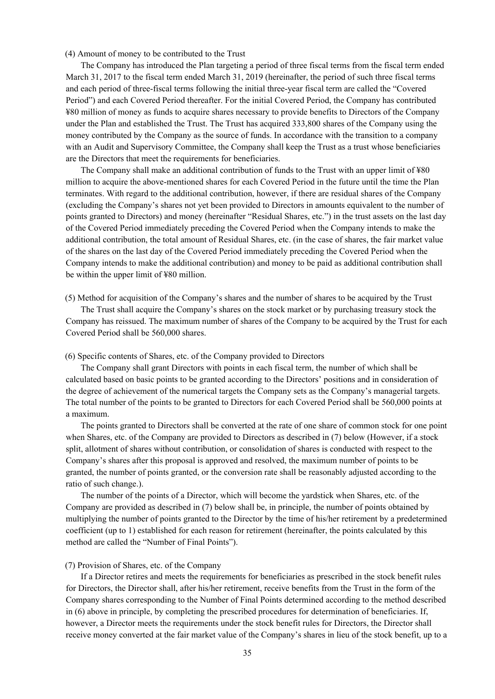#### (4) Amount of money to be contributed to the Trust

The Company has introduced the Plan targeting a period of three fiscal terms from the fiscal term ended March 31, 2017 to the fiscal term ended March 31, 2019 (hereinafter, the period of such three fiscal terms and each period of three-fiscal terms following the initial three-year fiscal term are called the "Covered Period") and each Covered Period thereafter. For the initial Covered Period, the Company has contributed ¥80 million of money as funds to acquire shares necessary to provide benefits to Directors of the Company under the Plan and established the Trust. The Trust has acquired 333,800 shares of the Company using the money contributed by the Company as the source of funds. In accordance with the transition to a company with an Audit and Supervisory Committee, the Company shall keep the Trust as a trust whose beneficiaries are the Directors that meet the requirements for beneficiaries.

The Company shall make an additional contribution of funds to the Trust with an upper limit of ¥80 million to acquire the above-mentioned shares for each Covered Period in the future until the time the Plan terminates. With regard to the additional contribution, however, if there are residual shares of the Company (excluding the Company's shares not yet been provided to Directors in amounts equivalent to the number of points granted to Directors) and money (hereinafter "Residual Shares, etc.") in the trust assets on the last day of the Covered Period immediately preceding the Covered Period when the Company intends to make the additional contribution, the total amount of Residual Shares, etc. (in the case of shares, the fair market value of the shares on the last day of the Covered Period immediately preceding the Covered Period when the Company intends to make the additional contribution) and money to be paid as additional contribution shall be within the upper limit of ¥80 million.

(5) Method for acquisition of the Company's shares and the number of shares to be acquired by the Trust

The Trust shall acquire the Company's shares on the stock market or by purchasing treasury stock the Company has reissued. The maximum number of shares of the Company to be acquired by the Trust for each Covered Period shall be 560,000 shares.

#### (6) Specific contents of Shares, etc. of the Company provided to Directors

The Company shall grant Directors with points in each fiscal term, the number of which shall be calculated based on basic points to be granted according to the Directors' positions and in consideration of the degree of achievement of the numerical targets the Company sets as the Company's managerial targets. The total number of the points to be granted to Directors for each Covered Period shall be 560,000 points at a maximum.

The points granted to Directors shall be converted at the rate of one share of common stock for one point when Shares, etc. of the Company are provided to Directors as described in (7) below (However, if a stock split, allotment of shares without contribution, or consolidation of shares is conducted with respect to the Company's shares after this proposal is approved and resolved, the maximum number of points to be granted, the number of points granted, or the conversion rate shall be reasonably adjusted according to the ratio of such change.).

The number of the points of a Director, which will become the yardstick when Shares, etc. of the Company are provided as described in (7) below shall be, in principle, the number of points obtained by multiplying the number of points granted to the Director by the time of his/her retirement by a predetermined coefficient (up to 1) established for each reason for retirement (hereinafter, the points calculated by this method are called the "Number of Final Points").

#### (7) Provision of Shares, etc. of the Company

If a Director retires and meets the requirements for beneficiaries as prescribed in the stock benefit rules for Directors, the Director shall, after his/her retirement, receive benefits from the Trust in the form of the Company shares corresponding to the Number of Final Points determined according to the method described in (6) above in principle, by completing the prescribed procedures for determination of beneficiaries. If, however, a Director meets the requirements under the stock benefit rules for Directors, the Director shall receive money converted at the fair market value of the Company's shares in lieu of the stock benefit, up to a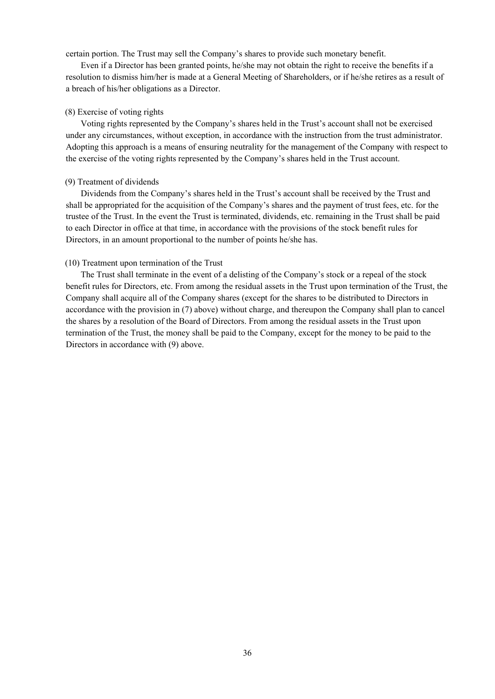certain portion. The Trust may sell the Company's shares to provide such monetary benefit.

Even if a Director has been granted points, he/she may not obtain the right to receive the benefits if a resolution to dismiss him/her is made at a General Meeting of Shareholders, or if he/she retires as a result of a breach of his/her obligations as a Director.

#### (8) Exercise of voting rights

Voting rights represented by the Company's shares held in the Trust's account shall not be exercised under any circumstances, without exception, in accordance with the instruction from the trust administrator. Adopting this approach is a means of ensuring neutrality for the management of the Company with respect to the exercise of the voting rights represented by the Company's shares held in the Trust account.

#### (9) Treatment of dividends

Dividends from the Company's shares held in the Trust's account shall be received by the Trust and shall be appropriated for the acquisition of the Company's shares and the payment of trust fees, etc. for the trustee of the Trust. In the event the Trust is terminated, dividends, etc. remaining in the Trust shall be paid to each Director in office at that time, in accordance with the provisions of the stock benefit rules for Directors, in an amount proportional to the number of points he/she has.

#### (10) Treatment upon termination of the Trust

The Trust shall terminate in the event of a delisting of the Company's stock or a repeal of the stock benefit rules for Directors, etc. From among the residual assets in the Trust upon termination of the Trust, the Company shall acquire all of the Company shares (except for the shares to be distributed to Directors in accordance with the provision in (7) above) without charge, and thereupon the Company shall plan to cancel the shares by a resolution of the Board of Directors. From among the residual assets in the Trust upon termination of the Trust, the money shall be paid to the Company, except for the money to be paid to the Directors in accordance with (9) above.